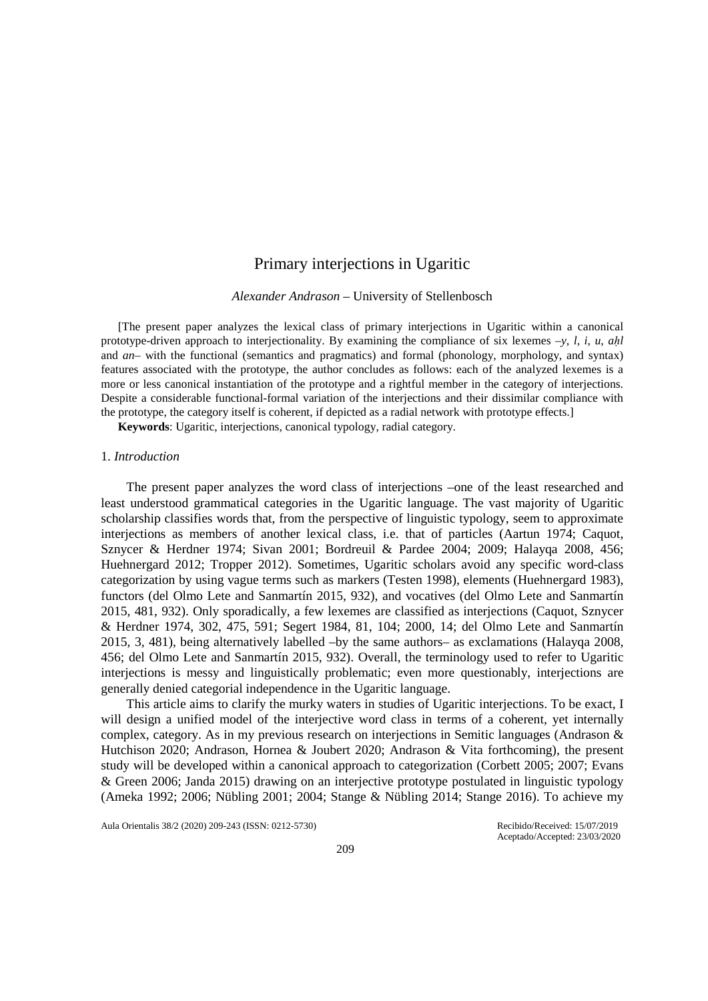# Primary interjections in Ugaritic

*Alexander Andrason* – University of Stellenbosch

[The present paper analyzes the lexical class of primary interjections in Ugaritic within a canonical prototype-driven approach to interjectionality. By examining the compliance of six lexemes  $-y$ , *l*, *i*, *u*, *ahl* and *an*– with the functional (semantics and pragmatics) and formal (phonology, morphology, and syntax) features associated with the prototype, the author concludes as follows: each of the analyzed lexemes is a more or less canonical instantiation of the prototype and a rightful member in the category of interjections. Despite a considerable functional-formal variation of the interjections and their dissimilar compliance with the prototype, the category itself is coherent, if depicted as a radial network with prototype effects.]

**Keywords**: Ugaritic, interjections, canonical typology, radial category.

#### 1. *Introduction*

The present paper analyzes the word class of interjections –one of the least researched and least understood grammatical categories in the Ugaritic language. The vast majority of Ugaritic scholarship classifies words that, from the perspective of linguistic typology, seem to approximate interjections as members of another lexical class, i.e. that of particles (Aartun 1974; Caquot, Sznycer & Herdner 1974; Sivan 2001; Bordreuil & Pardee 2004; 2009; Halayqa 2008, 456; Huehnergard 2012; Tropper 2012). Sometimes, Ugaritic scholars avoid any specific word-class categorization by using vague terms such as markers (Testen 1998), elements (Huehnergard 1983), functors (del Olmo Lete and Sanmartín 2015, 932), and vocatives (del Olmo Lete and Sanmartín 2015, 481, 932). Only sporadically, a few lexemes are classified as interjections (Caquot, Sznycer & Herdner 1974, 302, 475, 591; Segert 1984, 81, 104; 2000, 14; del Olmo Lete and Sanmartín 2015, 3, 481), being alternatively labelled –by the same authors– as exclamations (Halayqa 2008, 456; del Olmo Lete and Sanmartín 2015, 932). Overall, the terminology used to refer to Ugaritic interjections is messy and linguistically problematic; even more questionably, interjections are generally denied categorial independence in the Ugaritic language.

This article aims to clarify the murky waters in studies of Ugaritic interjections. To be exact, I will design a unified model of the interjective word class in terms of a coherent, yet internally complex, category. As in my previous research on interjections in Semitic languages (Andrason & Hutchison 2020; Andrason, Hornea & Joubert 2020; Andrason & Vita forthcoming), the present study will be developed within a canonical approach to categorization (Corbett 2005; 2007; Evans & Green 2006; Janda 2015) drawing on an interjective prototype postulated in linguistic typology (Ameka 1992; 2006; Nübling 2001; 2004; Stange & Nübling 2014; Stange 2016). To achieve my

Aula Orientalis 38/2 (2020) 209-243 (ISSN: 0212-5730) Recibido/Received: 15/07/2019

Aceptado/Accepted: 23/03/2020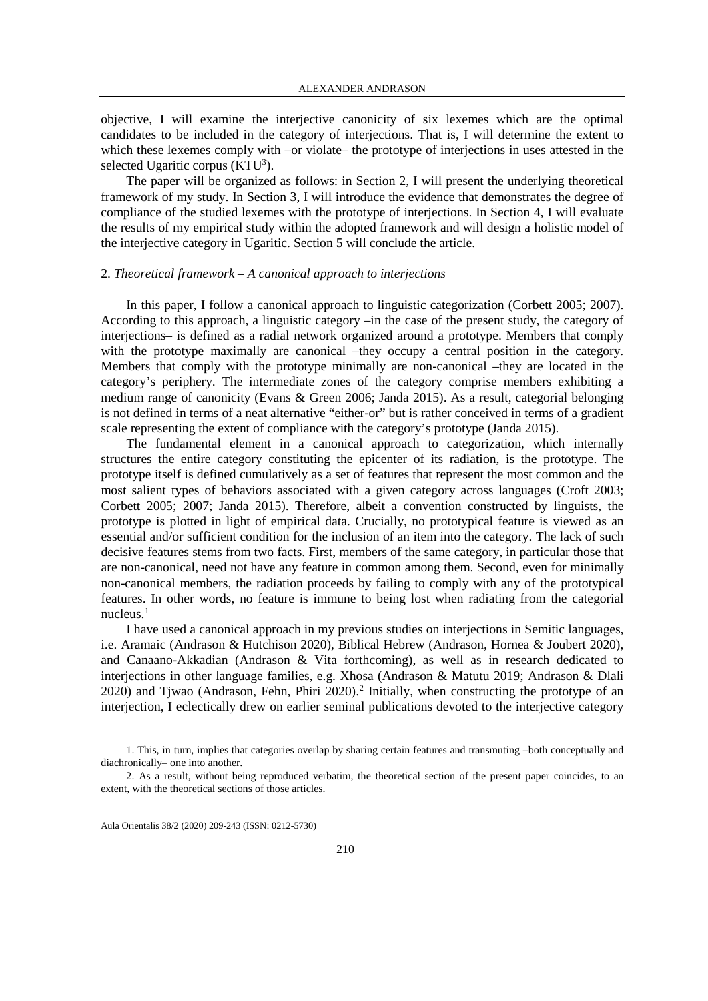objective, I will examine the interjective canonicity of six lexemes which are the optimal candidates to be included in the category of interjections. That is, I will determine the extent to which these lexemes comply with –or violate– the prototype of interjections in uses attested in the selected Ugaritic corpus (KTU3).

The paper will be organized as follows: in Section 2, I will present the underlying theoretical framework of my study. In Section 3, I will introduce the evidence that demonstrates the degree of compliance of the studied lexemes with the prototype of interjections. In Section 4, I will evaluate the results of my empirical study within the adopted framework and will design a holistic model of the interjective category in Ugaritic. Section 5 will conclude the article.

## 2. *Theoretical framework – A canonical approach to interjections*

In this paper, I follow a canonical approach to linguistic categorization (Corbett 2005; 2007). According to this approach, a linguistic category –in the case of the present study, the category of interjections– is defined as a radial network organized around a prototype. Members that comply with the prototype maximally are canonical –they occupy a central position in the category. Members that comply with the prototype minimally are non-canonical –they are located in the category's periphery. The intermediate zones of the category comprise members exhibiting a medium range of canonicity (Evans & Green 2006; Janda 2015). As a result, categorial belonging is not defined in terms of a neat alternative "either-or" but is rather conceived in terms of a gradient scale representing the extent of compliance with the category's prototype (Janda 2015).

The fundamental element in a canonical approach to categorization, which internally structures the entire category constituting the epicenter of its radiation, is the prototype. The prototype itself is defined cumulatively as a set of features that represent the most common and the most salient types of behaviors associated with a given category across languages (Croft 2003; Corbett 2005; 2007; Janda 2015). Therefore, albeit a convention constructed by linguists, the prototype is plotted in light of empirical data. Crucially, no prototypical feature is viewed as an essential and/or sufficient condition for the inclusion of an item into the category. The lack of such decisive features stems from two facts. First, members of the same category, in particular those that are non-canonical, need not have any feature in common among them. Second, even for minimally non-canonical members, the radiation proceeds by failing to comply with any of the prototypical features. In other words, no feature is immune to being lost when radiating from the categorial nucleus. [1](#page-1-0)

I have used a canonical approach in my previous studies on interjections in Semitic languages, i.e. Aramaic (Andrason & Hutchison 2020), Biblical Hebrew (Andrason, Hornea & Joubert 2020), and Canaano-Akkadian (Andrason & Vita forthcoming), as well as in research dedicated to interjections in other language families, e.g. Xhosa (Andrason & Matutu 2019; Andrason & Dlali [2](#page-1-1)020) and Tjwao (Andrason, Fehn, Phiri 2020).<sup>2</sup> Initially, when constructing the prototype of an interjection, I eclectically drew on earlier seminal publications devoted to the interjective category

<span id="page-1-0"></span> <sup>1.</sup> This, in turn, implies that categories overlap by sharing certain features and transmuting –both conceptually and diachronically– one into another.

<span id="page-1-1"></span><sup>2.</sup> As a result, without being reproduced verbatim, the theoretical section of the present paper coincides, to an extent, with the theoretical sections of those articles.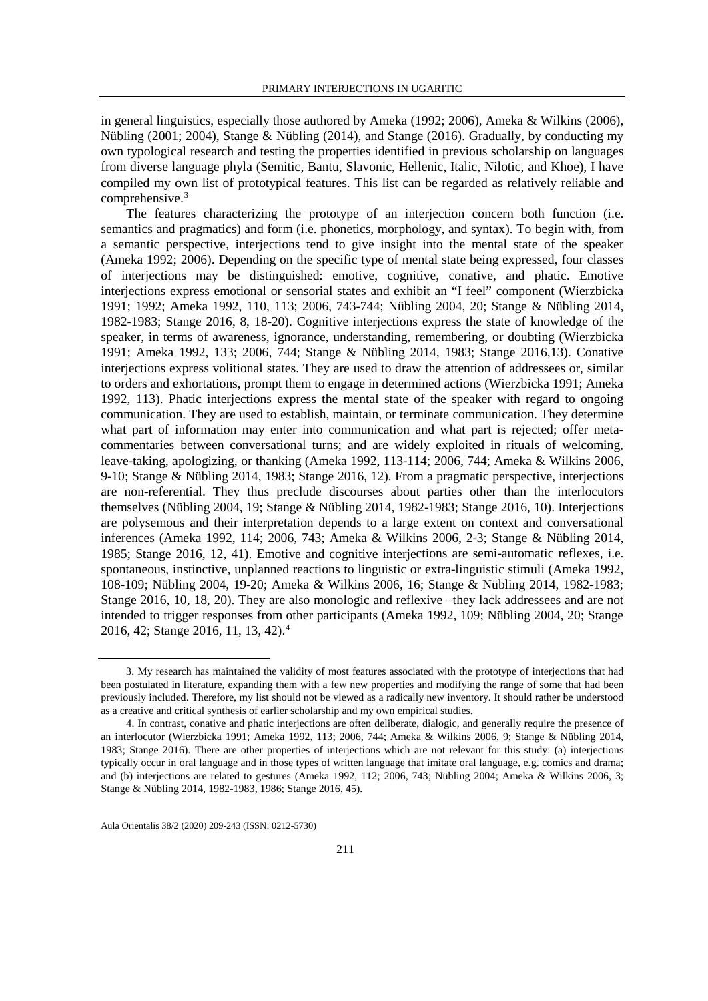in general linguistics, especially those authored by Ameka (1992; 2006), Ameka & Wilkins (2006), Nübling (2001; 2004), Stange & Nübling (2014), and Stange (2016). Gradually, by conducting my own typological research and testing the properties identified in previous scholarship on languages from diverse language phyla (Semitic, Bantu, Slavonic, Hellenic, Italic, Nilotic, and Khoe), I have compiled my own list of prototypical features. This list can be regarded as relatively reliable and comprehensive. [3](#page-2-0)

The features characterizing the prototype of an interjection concern both function (i.e. semantics and pragmatics) and form (i.e. phonetics, morphology, and syntax). To begin with, from a semantic perspective, interjections tend to give insight into the mental state of the speaker (Ameka 1992; 2006). Depending on the specific type of mental state being expressed, four classes of interjections may be distinguished: emotive, cognitive, conative, and phatic. Emotive interjections express emotional or sensorial states and exhibit an "I feel" component (Wierzbicka 1991; 1992; Ameka 1992, 110, 113; 2006, 743-744; Nübling 2004, 20; Stange & Nübling 2014, 1982-1983; Stange 2016, 8, 18-20). Cognitive interjections express the state of knowledge of the speaker, in terms of awareness, ignorance, understanding, remembering, or doubting (Wierzbicka 1991; Ameka 1992, 133; 2006, 744; Stange & Nübling 2014, 1983; Stange 2016,13). Conative interjections express volitional states. They are used to draw the attention of addressees or, similar to orders and exhortations, prompt them to engage in determined actions (Wierzbicka 1991; Ameka 1992, 113). Phatic interjections express the mental state of the speaker with regard to ongoing communication. They are used to establish, maintain, or terminate communication. They determine what part of information may enter into communication and what part is rejected; offer metacommentaries between conversational turns; and are widely exploited in rituals of welcoming, leave-taking, apologizing, or thanking (Ameka 1992, 113-114; 2006, 744; Ameka & Wilkins 2006, 9-10; Stange & Nübling 2014, 1983; Stange 2016, 12). From a pragmatic perspective, interjections are non-referential. They thus preclude discourses about parties other than the interlocutors themselves (Nübling 2004, 19; Stange & Nübling 2014, 1982-1983; Stange 2016, 10). Interjections are polysemous and their interpretation depends to a large extent on context and conversational inferences (Ameka 1992, 114; 2006, 743; Ameka & Wilkins 2006, 2-3; Stange & Nübling 2014, 1985; Stange 2016, 12, 41). Emotive and cognitive interjections are semi-automatic reflexes, i.e. spontaneous, instinctive, unplanned reactions to linguistic or extra-linguistic stimuli (Ameka 1992, 108-109; Nübling 2004, 19-20; Ameka & Wilkins 2006, 16; Stange & Nübling 2014, 1982-1983; Stange 2016, 10, 18, 20). They are also monologic and reflexive –they lack addressees and are not intended to trigger responses from other participants (Ameka 1992, 109; Nübling 2004, 20; Stange 2016, 42; Stange 2016, 11, 13, 42).[4](#page-2-1)

<span id="page-2-0"></span> <sup>3.</sup> My research has maintained the validity of most features associated with the prototype of interjections that had been postulated in literature, expanding them with a few new properties and modifying the range of some that had been previously included. Therefore, my list should not be viewed as a radically new inventory. It should rather be understood as a creative and critical synthesis of earlier scholarship and my own empirical studies.

<span id="page-2-1"></span><sup>4.</sup> In contrast, conative and phatic interjections are often deliberate, dialogic, and generally require the presence of an interlocutor (Wierzbicka 1991; Ameka 1992, 113; 2006, 744; Ameka & Wilkins 2006, 9; Stange & Nübling 2014, 1983; Stange 2016). There are other properties of interjections which are not relevant for this study: (a) interjections typically occur in oral language and in those types of written language that imitate oral language, e.g. comics and drama; and (b) interjections are related to gestures (Ameka 1992, 112; 2006, 743; Nübling 2004; Ameka & Wilkins 2006, 3; Stange & Nübling 2014, 1982-1983, 1986; Stange 2016, 45).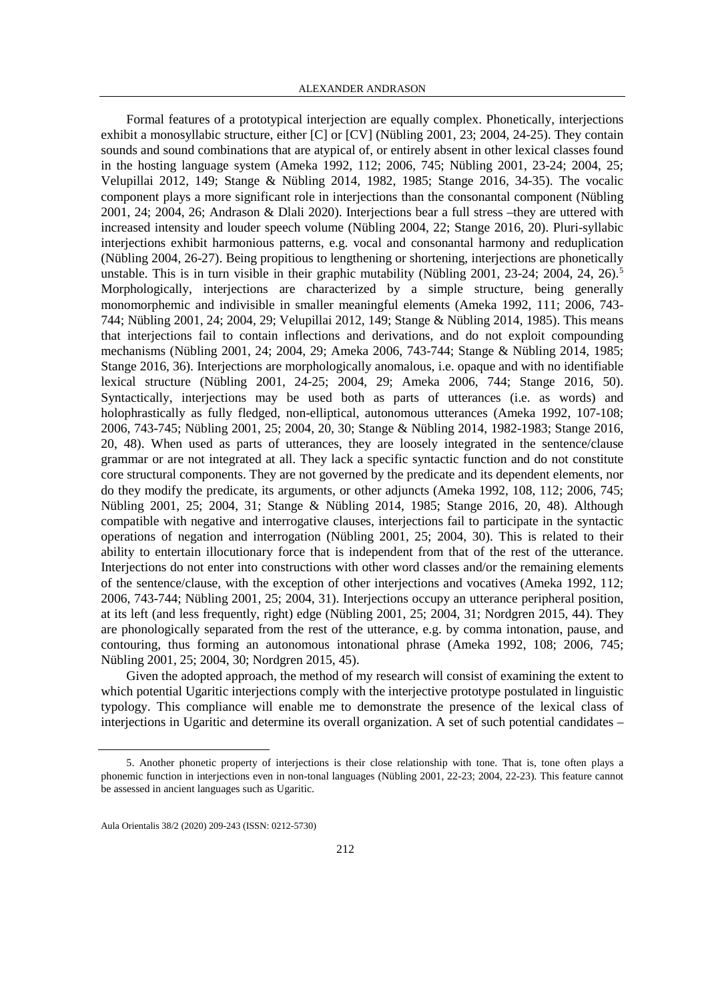Formal features of a prototypical interjection are equally complex. Phonetically, interjections exhibit a monosyllabic structure, either [C] or [CV] (Nübling 2001, 23; 2004, 24-25). They contain sounds and sound combinations that are atypical of, or entirely absent in other lexical classes found in the hosting language system (Ameka 1992, 112; 2006, 745; Nübling 2001, 23-24; 2004, 25; Velupillai 2012, 149; Stange & Nübling 2014, 1982, 1985; Stange 2016, 34-35). The vocalic component plays a more significant role in interjections than the consonantal component (Nübling 2001, 24; 2004, 26; Andrason & Dlali 2020). Interjections bear a full stress –they are uttered with increased intensity and louder speech volume (Nübling 2004, 22; Stange 2016, 20). Pluri-syllabic interjections exhibit harmonious patterns, e.g. vocal and consonantal harmony and reduplication (Nübling 2004, 26-27). Being propitious to lengthening or shortening, interjections are phonetically unstable. This is in turn visible in their graphic mutability (Nübling 2001, 23-24; 2004, 24, 26).<sup>[5](#page-3-0)</sup> Morphologically, interjections are characterized by a simple structure, being generally monomorphemic and indivisible in smaller meaningful elements (Ameka 1992, 111; 2006, 743- 744; Nübling 2001, 24; 2004, 29; Velupillai 2012, 149; Stange & Nübling 2014, 1985). This means that interjections fail to contain inflections and derivations, and do not exploit compounding mechanisms (Nübling 2001, 24; 2004, 29; Ameka 2006, 743-744; Stange & Nübling 2014, 1985; Stange 2016, 36). Interjections are morphologically anomalous, i.e. opaque and with no identifiable lexical structure (Nübling 2001, 24-25; 2004, 29; Ameka 2006, 744; Stange 2016, 50). Syntactically, interjections may be used both as parts of utterances (i.e. as words) and holophrastically as fully fledged, non-elliptical, autonomous utterances (Ameka 1992, 107-108; 2006, 743-745; Nübling 2001, 25; 2004, 20, 30; Stange & Nübling 2014, 1982-1983; Stange 2016, 20, 48). When used as parts of utterances, they are loosely integrated in the sentence/clause grammar or are not integrated at all. They lack a specific syntactic function and do not constitute core structural components. They are not governed by the predicate and its dependent elements, nor do they modify the predicate, its arguments, or other adjuncts (Ameka 1992, 108, 112; 2006, 745; Nübling 2001, 25; 2004, 31; Stange & Nübling 2014, 1985; Stange 2016, 20, 48). Although compatible with negative and interrogative clauses, interjections fail to participate in the syntactic operations of negation and interrogation (Nübling 2001, 25; 2004, 30). This is related to their ability to entertain illocutionary force that is independent from that of the rest of the utterance. Interjections do not enter into constructions with other word classes and/or the remaining elements of the sentence/clause, with the exception of other interjections and vocatives (Ameka 1992, 112; 2006, 743-744; Nübling 2001, 25; 2004, 31). Interjections occupy an utterance peripheral position, at its left (and less frequently, right) edge (Nübling 2001, 25; 2004, 31; Nordgren 2015, 44). They are phonologically separated from the rest of the utterance, e.g. by comma intonation, pause, and contouring, thus forming an autonomous intonational phrase (Ameka 1992, 108; 2006, 745; Nübling 2001, 25; 2004, 30; Nordgren 2015, 45).

Given the adopted approach, the method of my research will consist of examining the extent to which potential Ugaritic interjections comply with the interjective prototype postulated in linguistic typology. This compliance will enable me to demonstrate the presence of the lexical class of interjections in Ugaritic and determine its overall organization. A set of such potential candidates –

<span id="page-3-0"></span> <sup>5.</sup> Another phonetic property of interjections is their close relationship with tone. That is, tone often plays a phonemic function in interjections even in non-tonal languages (Nübling 2001, 22-23; 2004, 22-23). This feature cannot be assessed in ancient languages such as Ugaritic.

Aula Orientalis 38/2 (2020) 209-243 (ISSN: 0212-5730)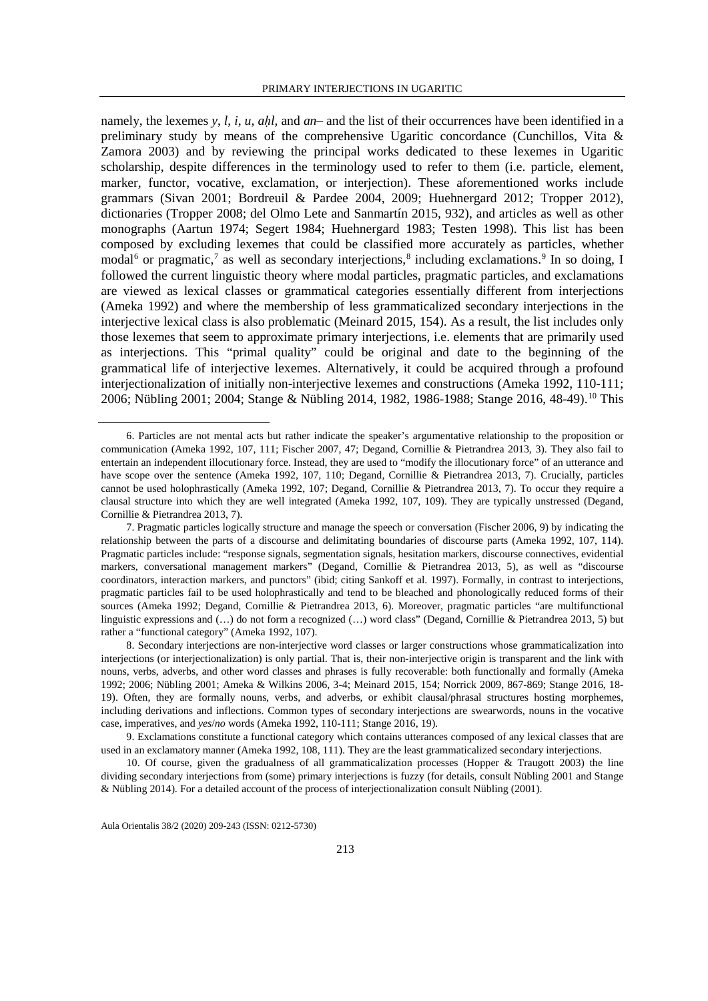namely, the lexemes  $y$ , *l*, *i*, *u*, *ahl*, and *an*– and the list of their occurrences have been identified in a preliminary study by means of the comprehensive Ugaritic concordance (Cunchillos, Vita & Zamora 2003) and by reviewing the principal works dedicated to these lexemes in Ugaritic scholarship, despite differences in the terminology used to refer to them (i.e. particle, element, marker, functor, vocative, exclamation, or interjection). These aforementioned works include grammars (Sivan 2001; Bordreuil & Pardee 2004, 2009; Huehnergard 2012; Tropper 2012), dictionaries (Tropper 2008; del Olmo Lete and Sanmartín 2015, 932), and articles as well as other monographs (Aartun 1974; Segert 1984; Huehnergard 1983; Testen 1998). This list has been composed by excluding lexemes that could be classified more accurately as particles, whether modal<sup>[6](#page-4-0)</sup> or pragmatic,<sup>[7](#page-4-1)</sup> as well as secondary interjections,<sup>[8](#page-4-2)</sup> including exclamations.<sup>[9](#page-4-3)</sup> In so doing, I followed the current linguistic theory where modal particles, pragmatic particles, and exclamations are viewed as lexical classes or grammatical categories essentially different from interjections (Ameka 1992) and where the membership of less grammaticalized secondary interjections in the interjective lexical class is also problematic (Meinard 2015, 154). As a result, the list includes only those lexemes that seem to approximate primary interjections, i.e. elements that are primarily used as interjections. This "primal quality" could be original and date to the beginning of the grammatical life of interjective lexemes. Alternatively, it could be acquired through a profound interjectionalization of initially non-interjective lexemes and constructions (Ameka 1992, 110-111; 2006; Nübling 2001; 2004; Stange & Nübling 2014, 1982, 1986-1988; Stange 2016, 48-49).<sup>[10](#page-4-4)</sup> This

<span id="page-4-2"></span>8. Secondary interjections are non-interjective word classes or larger constructions whose grammaticalization into interjections (or interjectionalization) is only partial. That is, their non-interjective origin is transparent and the link with nouns, verbs, adverbs, and other word classes and phrases is fully recoverable: both functionally and formally (Ameka 1992; 2006; Nübling 2001; Ameka & Wilkins 2006, 3-4; Meinard 2015, 154; Norrick 2009, 867-869; Stange 2016, 18- 19). Often, they are formally nouns, verbs, and adverbs, or exhibit clausal/phrasal structures hosting morphemes, including derivations and inflections. Common types of secondary interjections are swearwords, nouns in the vocative case, imperatives, and *yes*/*no* words (Ameka 1992, 110-111; Stange 2016, 19).

<span id="page-4-3"></span>9. Exclamations constitute a functional category which contains utterances composed of any lexical classes that are used in an exclamatory manner (Ameka 1992, 108, 111). They are the least grammaticalized secondary interjections.

<span id="page-4-4"></span>10. Of course, given the gradualness of all grammaticalization processes (Hopper & Traugott 2003) the line dividing secondary interjections from (some) primary interjections is fuzzy (for details, consult Nübling 2001 and Stange & Nübling 2014). For a detailed account of the process of interjectionalization consult Nübling (2001).

<span id="page-4-0"></span> <sup>6.</sup> Particles are not mental acts but rather indicate the speaker's argumentative relationship to the proposition or communication (Ameka 1992, 107, 111; Fischer 2007, 47; Degand, Cornillie & Pietrandrea 2013, 3). They also fail to entertain an independent illocutionary force. Instead, they are used to "modify the illocutionary force" of an utterance and have scope over the sentence (Ameka 1992, 107, 110; Degand, Cornillie & Pietrandrea 2013, 7). Crucially, particles cannot be used holophrastically (Ameka 1992, 107; Degand, Cornillie & Pietrandrea 2013, 7). To occur they require a clausal structure into which they are well integrated (Ameka 1992, 107, 109). They are typically unstressed (Degand, Cornillie & Pietrandrea 2013, 7).

<span id="page-4-1"></span><sup>7.</sup> Pragmatic particles logically structure and manage the speech or conversation (Fischer 2006, 9) by indicating the relationship between the parts of a discourse and delimitating boundaries of discourse parts (Ameka 1992, 107, 114). Pragmatic particles include: "response signals, segmentation signals, hesitation markers, discourse connectives, evidential markers, conversational management markers" (Degand, Cornillie & Pietrandrea 2013, 5), as well as "discourse coordinators, interaction markers, and punctors" (ibid; citing Sankoff et al. 1997). Formally, in contrast to interjections, pragmatic particles fail to be used holophrastically and tend to be bleached and phonologically reduced forms of their sources (Ameka 1992; Degand, Cornillie & Pietrandrea 2013, 6). Moreover, pragmatic particles "are multifunctional linguistic expressions and  $(...)$  do not form a recognized  $(...)$  word class" (Degand, Cornillie & Pietrandrea 2013, 5) but rather a "functional category" (Ameka 1992, 107).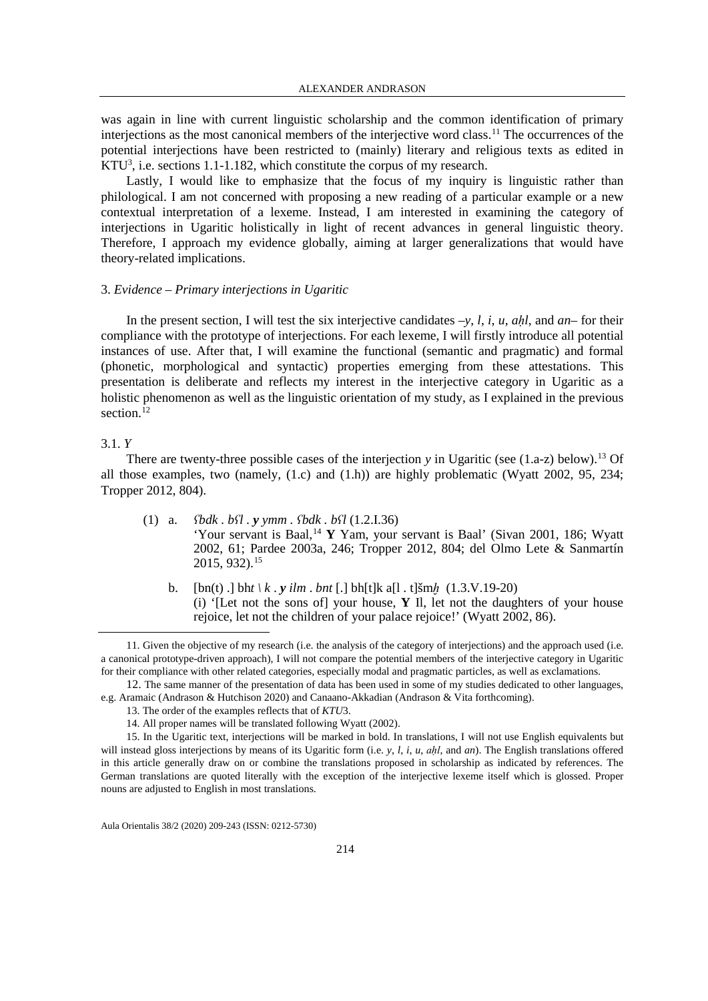was again in line with current linguistic scholarship and the common identification of primary interjections as the most canonical members of the interjective word class.<sup>[11](#page-5-0)</sup> The occurrences of the potential interjections have been restricted to (mainly) literary and religious texts as edited in  $KTU<sup>3</sup>$ , i.e. sections 1.1-1.182, which constitute the corpus of my research.

Lastly, I would like to emphasize that the focus of my inquiry is linguistic rather than philological. I am not concerned with proposing a new reading of a particular example or a new contextual interpretation of a lexeme. Instead, I am interested in examining the category of interjections in Ugaritic holistically in light of recent advances in general linguistic theory. Therefore, I approach my evidence globally, aiming at larger generalizations that would have theory-related implications.

## 3. *Evidence – Primary interjections in Ugaritic*

In the present section, I will test the six interjective candidates  $-\gamma$ , *l*, *i*, *u*, *ahl*, and *an*– for their compliance with the prototype of interjections. For each lexeme, I will firstly introduce all potential instances of use. After that, I will examine the functional (semantic and pragmatic) and formal (phonetic, morphological and syntactic) properties emerging from these attestations. This presentation is deliberate and reflects my interest in the interjective category in Ugaritic as a holistic phenomenon as well as the linguistic orientation of my study, as I explained in the previous section. $^{12}$ 

3.1. *Y*

There are twenty-three possible cases of the interjection *y* in Ugaritic (see (1.a-z) below). [13](#page-5-2) Of all those examples, two (namely, (1.c) and (1.h)) are highly problematic (Wyatt 2002, 95, 234; Tropper 2012, 804).

- (1) a. *ʕbdk . bʕl . y ymm . ʕbdk . bʕl* (1.2.I.36) 'Your servant is Baal,<sup>[14](#page-5-3)</sup> **Y** Yam, your servant is Baal' (Sivan 2001, 186; Wvatt 2002, 61; Pardee 2003a, 246; Tropper 2012, 804; del Olmo Lete & Sanmartín 2015, 932).[15](#page-5-4)
	- b.  $[bn(t) \cdot b \cdot k \cdot y \cdot \lim \cdot bnt \cdot c] \cdot bh[t]k a[1 \cdot t] \cdot \lim \{ (1.3 \cdot 19^{-20}) \}$ (i) '[Let not the sons of] your house, **Y** Il, let not the daughters of your house rejoice, let not the children of your palace rejoice!' (Wyatt 2002, 86).

<span id="page-5-0"></span> <sup>11.</sup> Given the objective of my research (i.e. the analysis of the category of interjections) and the approach used (i.e. a canonical prototype-driven approach), I will not compare the potential members of the interjective category in Ugaritic for their compliance with other related categories, especially modal and pragmatic particles, as well as exclamations.

<span id="page-5-1"></span><sup>12.</sup> The same manner of the presentation of data has been used in some of my studies dedicated to other languages, e.g. Aramaic (Andrason & Hutchison 2020) and Canaano-Akkadian (Andrason & Vita forthcoming).

<sup>13.</sup> The order of the examples reflects that of *KTU*3.

<sup>14.</sup> All proper names will be translated following Wyatt (2002).

<span id="page-5-4"></span><span id="page-5-3"></span><span id="page-5-2"></span><sup>15.</sup> In the Ugaritic text, interjections will be marked in bold. In translations, I will not use English equivalents but will instead gloss interjections by means of its Ugaritic form (i.e. *y*, *l*, *i*, *u*, *aḥl*, and *an*). The English translations offered in this article generally draw on or combine the translations proposed in scholarship as indicated by references. The German translations are quoted literally with the exception of the interjective lexeme itself which is glossed. Proper nouns are adjusted to English in most translations.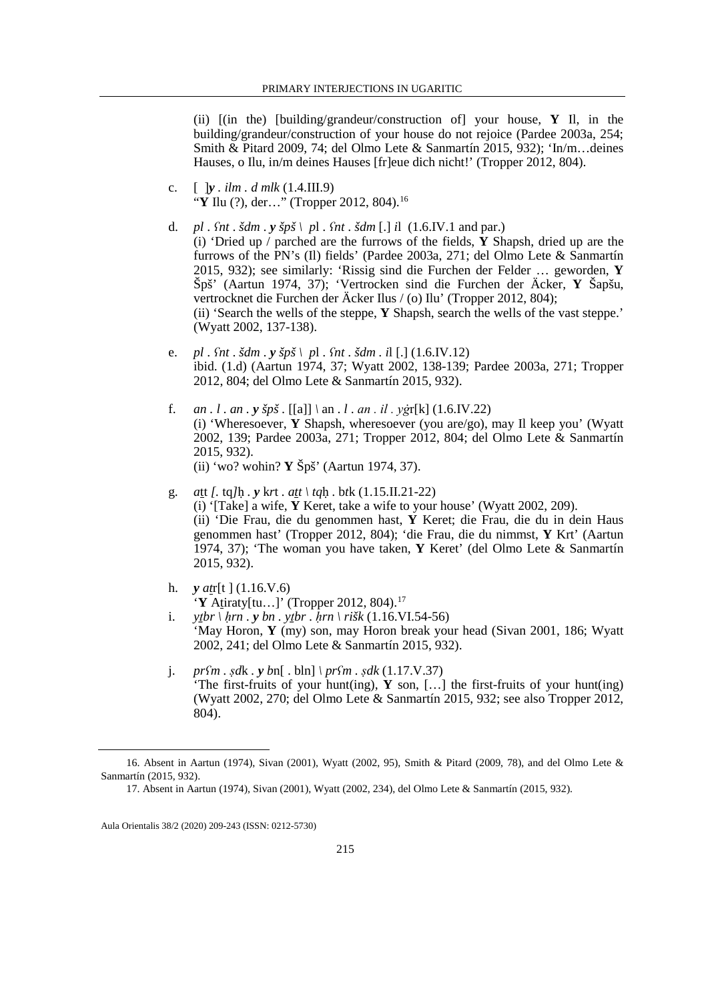(ii) [(in the) [building/grandeur/construction of] your house, **Y** Il, in the building/grandeur/construction of your house do not rejoice (Pardee 2003a, 254; Smith & Pitard 2009, 74; del Olmo Lete & Sanmartín 2015, 932); 'In/m…deines Hauses, o Ilu, in/m deines Hauses [fr]eue dich nicht!' (Tropper 2012, 804).

- c. [ ]*y . ilm . d mlk* (1.4.III.9) "Y Ilu (?), der..." (Tropper 2012, 804).<sup>[16](#page-6-0)</sup>
- d. *pl* . *ʕnt* . *šdm* . *y špš \ p*l . *ʕnt* . *šdm* [.] *i*l (1.6.IV.1 and par.) (i) 'Dried up / parched are the furrows of the fields, **Y** Shapsh, dried up are the furrows of the PN's (Il) fields' (Pardee 2003a, 271; del Olmo Lete & Sanmartín 2015, 932); see similarly: 'Rissig sind die Furchen der Felder … geworden, **Y** Špš' (Aartun 1974, 37); 'Vertrocken sind die Furchen der Äcker, **Y** Šapšu, vertrocknet die Furchen der Äcker Ilus / (o) Ilu' (Tropper 2012, 804); (ii) 'Search the wells of the steppe, **Y** Shapsh, search the wells of the vast steppe.' (Wyatt 2002, 137-138).
- e. *pl* . *ʕnt* . *šdm* . *y špš \ p*l . *ʕnt* . *šdm . i*l [.] (1.6.IV.12) ibid. (1.d) (Aartun 1974, 37; Wyatt 2002, 138-139; Pardee 2003a, 271; Tropper 2012, 804; del Olmo Lete & Sanmartín 2015, 932).
- f. *an . l . an . y špš* . [[a]]  $\tan$  . *l . an . il . y*ġr[k] (1.6.IV.22) (i) 'Wheresoever, **Y** Shapsh, wheresoever (you are/go), may Il keep you' (Wyatt 2002, 139; Pardee 2003a, 271; Tropper 2012, 804; del Olmo Lete & Sanmartín 2015, 932).
	- (ii) 'wo? wohin? **Y** Špš' (Aartun 1974, 37).
- g. *a*tt *[.* tq*]*ḥ *. y* k*r*t *. att \ tq*ḥ *.* b*t*k (1.15.II.21-22) (i) '[Take] a wife, **Y** Keret, take a wife to your house' (Wyatt 2002, 209). (ii) 'Die Frau, die du genommen hast, **Y** Keret; die Frau, die du in dein Haus genommen hast' (Tropper 2012, 804); 'die Frau, die du nimmst, **Y** Krt' (Aartun 1974, 37); 'The woman you have taken, **Y** Keret' (del Olmo Lete & Sanmartín 2015, 932).
- h. *y at*r[t ] (1.16.V.6)
- '**Y** Atiraty[tu…]' (Tropper 2012, 804). [17](#page-6-1) i. *ytbr*  $\ln n \cdot y$  *bn . y<sup>tbr</sup> . hrn*  $\ln x$ <sup>2</sup> *rišk* (1.16.VI.54-56) 'May Horon, **Y** (my) son, may Horon break your head (Sivan 2001, 186; Wyatt
- 2002, 241; del Olmo Lete & Sanmartín 2015, 932). i. *prfm.sdk.vbn[.bln]*  $\sqrt{pr}$ *n.sdk* (1.17.V.37) 'The first-fruits of your hunt(ing), **Y** son, […] the first-fruits of your hunt(ing) (Wyatt 2002, 270; del Olmo Lete & Sanmartín 2015, 932; see also Tropper 2012,

804).

<span id="page-6-1"></span><span id="page-6-0"></span> <sup>16.</sup> Absent in Aartun (1974), Sivan (2001), Wyatt (2002, 95), Smith & Pitard (2009, 78), and del Olmo Lete & Sanmartín (2015, 932).

<sup>17.</sup> Absent in Aartun (1974), Sivan (2001), Wyatt (2002, 234), del Olmo Lete & Sanmartín (2015, 932).

Aula Orientalis 38/2 (2020) 209-243 (ISSN: 0212-5730)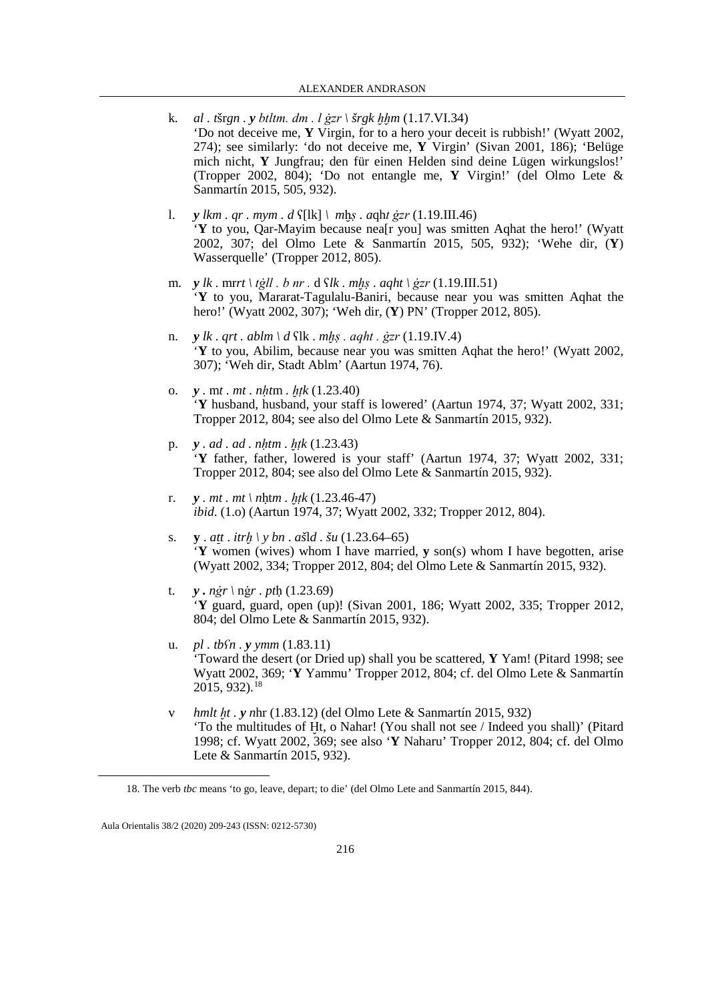- k. *al . t*šr*gn . y btltm. dm . l ġzr \ šrgk ḫḫm* (1.17.VI.34) 'Do not deceive me, **Y** Virgin, for to a hero your deceit is rubbish!' (Wyatt 2002, 274); see similarly: 'do not deceive me, **Y** Virgin' (Sivan 2001, 186); 'Belüge mich nicht, **Y** Jungfrau; den für einen Helden sind deine Lügen wirkungslos!' (Tropper 2002, 804); 'Do not entangle me, **Y** Virgin!' (del Olmo Lete & Sanmartín 2015, 505, 932).
- l. *y lkm . qr . mym . d* ʕ[lk] *\ m*ḫ*ṣ . a*qh*t ġzr* (1.19.III.46) '**Y** to you, Qar-Mayim because nea[r you] was smitten Aqhat the hero!' (Wyatt 2002, 307; del Olmo Lete & Sanmartín 2015, 505, 932); 'Wehe dir, (**Y**) Wasserquelle' (Tropper 2012, 805).
- m. *y lk*.  $mrt \tbinom{g}{l}$ . *b nr*. d *Slk*. *mhs*. *aght*  $\gtrsim \frac{g}{r}$  (1.19.III.51) '**Y** to you, Mararat-Tagulalu-Baniri, because near you was smitten Aqhat the hero!' (Wyatt 2002, 307); 'Weh dir, (**Y**) PN' (Tropper 2012, 805).
- n. *y lk . qrt . ablm \ d* ʕlk . *mḫṣ . aqht . ġzr* (1.19.IV.4) '**Y** to you, Abilim, because near you was smitten Aqhat the hero!' (Wyatt 2002, 307); 'Weh dir, Stadt Ablm' (Aartun 1974, 76).
- o. *y .* m*t . mt . nḥt*m *. ḫṭk* (1.23.40) '**Y** husband, husband, your staff is lowered' (Aartun 1974, 37; Wyatt 2002, 331; Tropper 2012, 804; see also del Olmo Lete & Sanmartín 2015, 932).
- p. *y . ad . ad . nḥtm . ḫṭk* (1.23.43) '**Y** father, father, lowered is your staff' (Aartun 1974, 37; Wyatt 2002, 331; Tropper 2012, 804; see also del Olmo Lete & Sanmartín 2015, 932).
- r.  $y \cdot mt \cdot mt \setminus nhtm \cdot ht \in (1.23.46-47)$ *ibid*. (1.o) (Aartun 1974, 37; Wyatt 2002, 332; Tropper 2012, 804).
- s. **y** . *att* . *itrḫ \ y bn* . *aš*l*d . šu* (1.23.64–65) '**Y** women (wives) whom I have married, **y** son(s) whom I have begotten, arise (Wyatt 2002, 334; Tropper 2012, 804; del Olmo Lete & Sanmartín 2015, 932).
- t. *y . nġr \* nġ*r . pt*ḥ (1.23.69) '**Y** guard, guard, open (up)! (Sivan 2001, 186; Wyatt 2002, 335; Tropper 2012, 804; del Olmo Lete & Sanmartín 2015, 932).
- u. *pl . tbʕn . y ymm* (1.83.11) 'Toward the desert (or Dried up) shall you be scattered, **Y** Yam! (Pitard 1998; see Wyatt 2002, 369; '**Y** Yammu' Tropper 2012, 804; cf. del Olmo Lete & Sanmartín 2015, 932). [18](#page-7-0)
- v *hmlt ḫt . y n*hr (1.83.12) (del Olmo Lete & Sanmartín 2015, 932) 'To the multitudes of H̬t, o Nahar! (You shall not see / Indeed you shall)' (Pitard 1998; cf. Wyatt 2002, 369; see also '**Y** Naharu' Tropper 2012, 804; cf. del Olmo Lete & Sanmartín 2015, 932).

<span id="page-7-0"></span> <sup>18.</sup> The verb *tbc* means 'to go, leave, depart; to die' (del Olmo Lete and Sanmartín 2015, 844).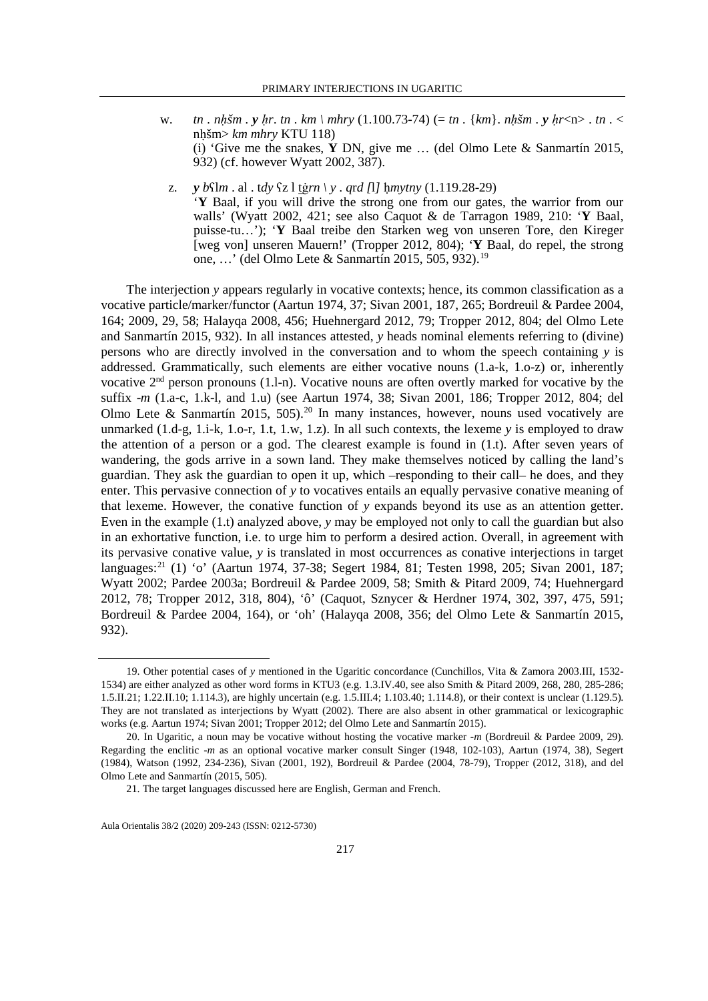- w. *tn . nḥšm . y ḥr*. *tn . km \ mhry* (1.100.73-74) (= *tn .* {*km*}. *nḥšm . y ḥr*<n> . *tn .* < nḥšm> *km mhry* KTU 118) (i) 'Give me the snakes, **Y** DN, give me … (del Olmo Lete & Sanmartín 2015, 932) (cf. however Wyatt 2002, 387).
- z. *y b*ʕl*m* . al . t*dy* ʕz l tġ*rn \ y* . *q*r*d [*l*]* ḥ*mytny* (1.119.28-29)
	- '**Y** Baal, if you will drive the strong one from our gates, the warrior from our walls' (Wyatt 2002, 421; see also Caquot & de Tarragon 1989, 210: '**Y** Baal, puisse-tu…'); '**Y** Baal treibe den Starken weg von unseren Tore, den Kireger [weg von] unseren Mauern!' (Tropper 2012, 804); '**Y** Baal, do repel, the strong one, ...' (del Olmo Lete & Sanmartín 2015, 505, 932).<sup>[19](#page-8-0)</sup>

The interjection *y* appears regularly in vocative contexts; hence, its common classification as a vocative particle/marker/functor (Aartun 1974, 37; Sivan 2001, 187, 265; Bordreuil & Pardee 2004, 164; 2009, 29, 58; Halayqa 2008, 456; Huehnergard 2012, 79; Tropper 2012, 804; del Olmo Lete and Sanmartín 2015, 932). In all instances attested, *y* heads nominal elements referring to (divine) persons who are directly involved in the conversation and to whom the speech containing *y* is addressed. Grammatically, such elements are either vocative nouns (1.a-k, 1.o-z) or, inherently vocative 2nd person pronouns (1.l-n). Vocative nouns are often overtly marked for vocative by the suffix -*m* (1.a-c, 1.k-l, and 1.u) (see Aartun 1974, 38; Sivan 2001, 186; Tropper 2012, 804; del Olmo Lete & Sanmartín [20](#page-8-1)15, 505).<sup>20</sup> In many instances, however, nouns used vocatively are unmarked (1.d-g, 1.i-k, 1.o-r, 1.t, 1.w, 1.z). In all such contexts, the lexeme *y* is employed to draw the attention of a person or a god. The clearest example is found in (1.t). After seven years of wandering, the gods arrive in a sown land. They make themselves noticed by calling the land's guardian. They ask the guardian to open it up, which –responding to their call– he does, and they enter. This pervasive connection of *y* to vocatives entails an equally pervasive conative meaning of that lexeme. However, the conative function of *y* expands beyond its use as an attention getter. Even in the example (1.t) analyzed above, *y* may be employed not only to call the guardian but also in an exhortative function, i.e. to urge him to perform a desired action. Overall, in agreement with its pervasive conative value, *y* is translated in most occurrences as conative interjections in target languages[:21](#page-8-2) (1) 'o' (Aartun 1974, 37-38; Segert 1984, 81; Testen 1998, 205; Sivan 2001, 187; Wyatt 2002; Pardee 2003a; Bordreuil & Pardee 2009, 58; Smith & Pitard 2009, 74; Huehnergard 2012, 78; Tropper 2012, 318, 804), 'ô' (Caquot, Sznycer & Herdner 1974, 302, 397, 475, 591; Bordreuil & Pardee 2004, 164), or 'oh' (Halayqa 2008, 356; del Olmo Lete & Sanmartín 2015, 932).

<span id="page-8-0"></span> <sup>19.</sup> Other potential cases of *y* mentioned in the Ugaritic concordance (Cunchillos, Vita & Zamora 2003.III, 1532- 1534) are either analyzed as other word forms in KTU3 (e.g. 1.3.IV.40, see also Smith & Pitard 2009, 268, 280, 285-286; 1.5.II.21; 1.22.II.10; 1.114.3), are highly uncertain (e.g. 1.5.III.4; 1.103.40; 1.114.8), or their context is unclear (1.129.5). They are not translated as interjections by Wyatt (2002). There are also absent in other grammatical or lexicographic works (e.g. Aartun 1974; Sivan 2001; Tropper 2012; del Olmo Lete and Sanmartín 2015).

<span id="page-8-2"></span><span id="page-8-1"></span><sup>20.</sup> In Ugaritic, a noun may be vocative without hosting the vocative marker -*m* (Bordreuil & Pardee 2009, 29). Regarding the enclitic -*m* as an optional vocative marker consult Singer (1948, 102-103), Aartun (1974, 38), Segert (1984), Watson (1992, 234-236), Sivan (2001, 192), Bordreuil & Pardee (2004, 78-79), Tropper (2012, 318), and del Olmo Lete and Sanmartín (2015, 505).

<sup>21.</sup> The target languages discussed here are English, German and French.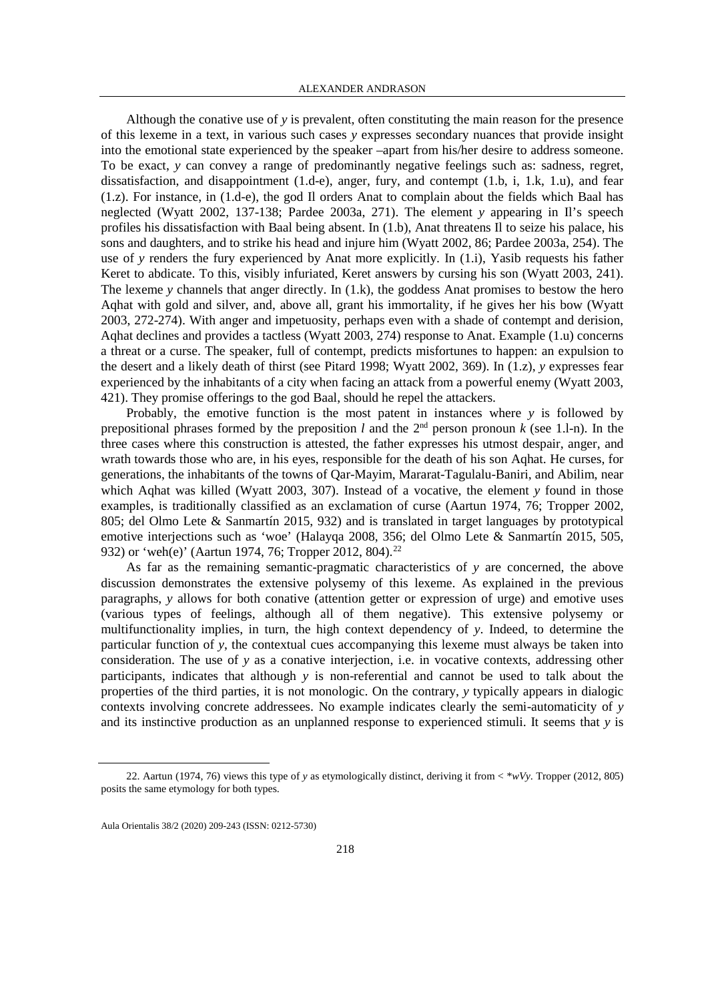Although the conative use of  $\nu$  is prevalent, often constituting the main reason for the presence of this lexeme in a text, in various such cases *y* expresses secondary nuances that provide insight into the emotional state experienced by the speaker –apart from his/her desire to address someone. To be exact, *y* can convey a range of predominantly negative feelings such as: sadness, regret, dissatisfaction, and disappointment (1.d-e), anger, fury, and contempt (1.b, i, 1.k, 1.u), and fear (1.z). For instance, in (1.d-e), the god Il orders Anat to complain about the fields which Baal has neglected (Wyatt 2002, 137-138; Pardee 2003a, 271). The element *y* appearing in Il's speech profiles his dissatisfaction with Baal being absent. In (1.b), Anat threatens Il to seize his palace, his sons and daughters, and to strike his head and injure him (Wyatt 2002, 86; Pardee 2003a, 254). The use of *y* renders the fury experienced by Anat more explicitly. In  $(1,i)$ , Yasib requests his father Keret to abdicate. To this, visibly infuriated, Keret answers by cursing his son (Wyatt 2003, 241). The lexeme y channels that anger directly. In (1.k), the goddess Anat promises to bestow the hero Aqhat with gold and silver, and, above all, grant his immortality, if he gives her his bow (Wyatt 2003, 272-274). With anger and impetuosity, perhaps even with a shade of contempt and derision, Aqhat declines and provides a tactless (Wyatt 2003, 274) response to Anat. Example (1.u) concerns a threat or a curse. The speaker, full of contempt, predicts misfortunes to happen: an expulsion to the desert and a likely death of thirst (see Pitard 1998; Wyatt 2002, 369). In (1.z), *y* expresses fear experienced by the inhabitants of a city when facing an attack from a powerful enemy (Wyatt 2003, 421). They promise offerings to the god Baal, should he repel the attackers.

Probably, the emotive function is the most patent in instances where *y* is followed by prepositional phrases formed by the preposition *l* and the 2nd person pronoun *k* (see 1.l-n). In the three cases where this construction is attested, the father expresses his utmost despair, anger, and wrath towards those who are, in his eyes, responsible for the death of his son Aqhat. He curses, for generations, the inhabitants of the towns of Qar-Mayim, Mararat-Tagulalu-Baniri, and Abilim, near which Aqhat was killed (Wyatt 2003, 307). Instead of a vocative, the element *y* found in those examples, is traditionally classified as an exclamation of curse (Aartun 1974, 76; Tropper 2002, 805; del Olmo Lete & Sanmartín 2015, 932) and is translated in target languages by prototypical emotive interjections such as 'woe' (Halayqa 2008, 356; del Olmo Lete & Sanmartín 2015, 505, 932) or 'weh(e)' (Aartun 1974, 76; Tropper 2012, 804).<sup>[22](#page-9-0)</sup>

As far as the remaining semantic-pragmatic characteristics of *y* are concerned, the above discussion demonstrates the extensive polysemy of this lexeme. As explained in the previous paragraphs, *y* allows for both conative (attention getter or expression of urge) and emotive uses (various types of feelings, although all of them negative). This extensive polysemy or multifunctionality implies, in turn, the high context dependency of *y*. Indeed, to determine the particular function of *y*, the contextual cues accompanying this lexeme must always be taken into consideration. The use of *y* as a conative interjection, i.e. in vocative contexts, addressing other participants, indicates that although *y* is non-referential and cannot be used to talk about the properties of the third parties, it is not monologic. On the contrary, *y* typically appears in dialogic contexts involving concrete addressees. No example indicates clearly the semi-automaticity of *y*  and its instinctive production as an unplanned response to experienced stimuli. It seems that *y* is

<span id="page-9-0"></span> <sup>22.</sup> Aartun (1974, 76) views this type of *<sup>y</sup>* as etymologically distinct, deriving it from < \**wVy*. Tropper (2012, 805) posits the same etymology for both types.

Aula Orientalis 38/2 (2020) 209-243 (ISSN: 0212-5730)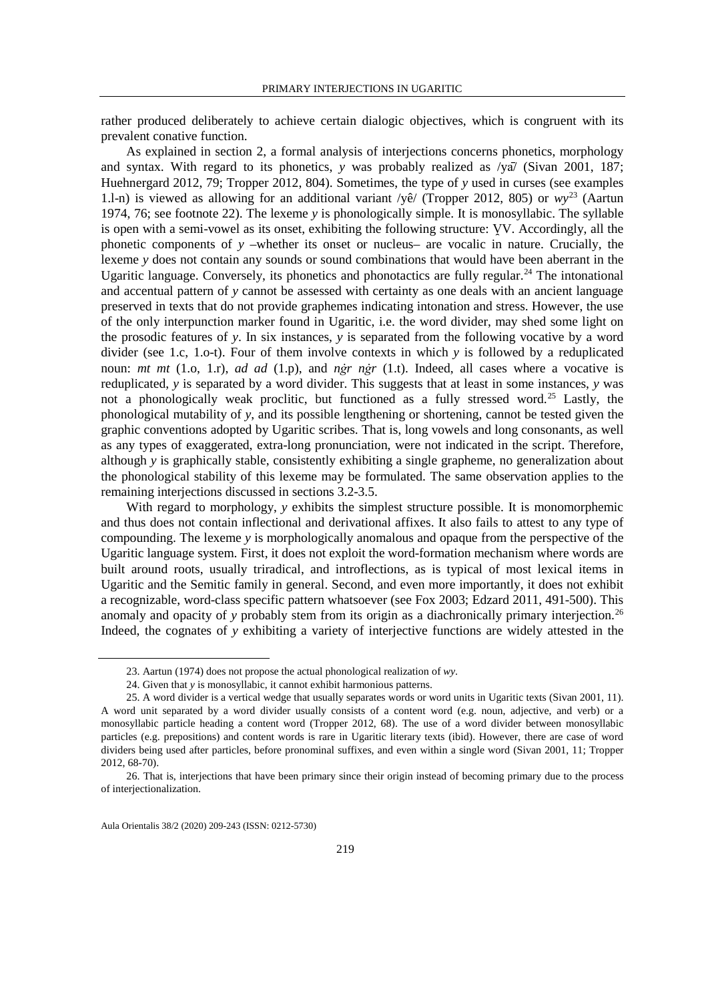rather produced deliberately to achieve certain dialogic objectives, which is congruent with its prevalent conative function.

As explained in section 2, a formal analysis of interjections concerns phonetics, morphology and syntax. With regard to its phonetics, *y* was probably realized as /ya<sup> $7$ </sup> (Sivan 2001, 187; Huehnergard 2012, 79; Tropper 2012, 804). Sometimes, the type of *y* used in curses (see examples 1.l-n) is viewed as allowing for an additional variant /yê/ (Tropper 2012, 805) or  $wy^{23}$  $wy^{23}$  $wy^{23}$  (Aartun 1974, 76; see footnote 22). The lexeme *y* is phonologically simple. It is monosyllabic. The syllable is open with a semi-vowel as its onset, exhibiting the following structure: VV. Accordingly, all the phonetic components of *y* –whether its onset or nucleus– are vocalic in nature. Crucially, the lexeme *y* does not contain any sounds or sound combinations that would have been aberrant in the Ugaritic language. Conversely, its phonetics and phonotactics are fully regular.<sup>[24](#page-10-1)</sup> The intonational and accentual pattern of *y* cannot be assessed with certainty as one deals with an ancient language preserved in texts that do not provide graphemes indicating intonation and stress. However, the use of the only interpunction marker found in Ugaritic, i.e. the word divider, may shed some light on the prosodic features of *y*. In six instances, *y* is separated from the following vocative by a word divider (see 1.c, 1.o-t). Four of them involve contexts in which *y* is followed by a reduplicated noun: *mt mt* (1.o, 1.r), *ad ad* (1.p), and *nġr nġr* (1.t). Indeed, all cases where a vocative is reduplicated, *y* is separated by a word divider. This suggests that at least in some instances, *y* was not a phonologically weak proclitic, but functioned as a fully stressed word.<sup>[25](#page-10-2)</sup> Lastly, the phonological mutability of *y*, and its possible lengthening or shortening, cannot be tested given the graphic conventions adopted by Ugaritic scribes. That is, long vowels and long consonants, as well as any types of exaggerated, extra-long pronunciation, were not indicated in the script. Therefore, although *y* is graphically stable, consistently exhibiting a single grapheme, no generalization about the phonological stability of this lexeme may be formulated. The same observation applies to the remaining interjections discussed in sections 3.2-3.5.

With regard to morphology, *y* exhibits the simplest structure possible. It is monomorphemic and thus does not contain inflectional and derivational affixes. It also fails to attest to any type of compounding. The lexeme *y* is morphologically anomalous and opaque from the perspective of the Ugaritic language system. First, it does not exploit the word-formation mechanism where words are built around roots, usually triradical, and introflections, as is typical of most lexical items in Ugaritic and the Semitic family in general. Second, and even more importantly, it does not exhibit a recognizable, word-class specific pattern whatsoever (see Fox 2003; Edzard 2011, 491-500). This anomaly and opacity of *y* probably stem from its origin as a diachronically primary interjection. [26](#page-10-3) Indeed, the cognates of *y* exhibiting a variety of interjective functions are widely attested in the

 <sup>23.</sup> Aartun (1974) does not propose the actual phonological realization of *wy*.

<sup>24.</sup> Given that *y* is monosyllabic, it cannot exhibit harmonious patterns.

<span id="page-10-2"></span><span id="page-10-1"></span><span id="page-10-0"></span><sup>25.</sup> A word divider is a vertical wedge that usually separates words or word units in Ugaritic texts (Sivan 2001, 11). A word unit separated by a word divider usually consists of a content word (e.g. noun, adjective, and verb) or a monosyllabic particle heading a content word (Tropper 2012, 68). The use of a word divider between monosyllabic particles (e.g. prepositions) and content words is rare in Ugaritic literary texts (ibid). However, there are case of word dividers being used after particles, before pronominal suffixes, and even within a single word (Sivan 2001, 11; Tropper 2012, 68-70).

<span id="page-10-3"></span><sup>26.</sup> That is, interjections that have been primary since their origin instead of becoming primary due to the process of interjectionalization.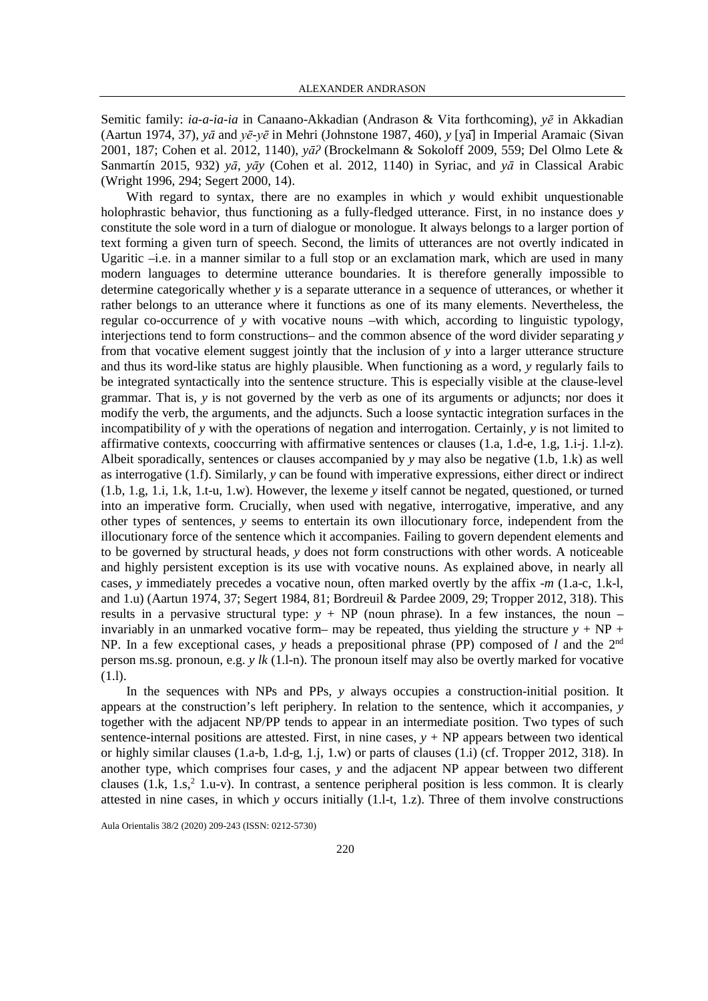Semitic family: *ia-a-ia-ia* in Canaano-Akkadian (Andrason & Vita forthcoming), *yē* in Akkadian (Aartun 1974, 37), *yā* and *yē-yē* in Mehri (Johnstone 1987, 460), *y* [yа̄] in Imperial Aramaic (Sivan 2001, 187; Cohen et al. 2012, 1140), *yāʔ* (Brockelmann & Sokoloff 2009, 559; Del Olmo Lete & Sanmartín 2015, 932) *yā*, *yāy* (Cohen et al. 2012, 1140) in Syriac, and *yā* in Classical Arabic (Wright 1996, 294; Segert 2000, 14).

With regard to syntax, there are no examples in which *y* would exhibit unquestionable holophrastic behavior, thus functioning as a fully-fledged utterance. First, in no instance does *y*  constitute the sole word in a turn of dialogue or monologue. It always belongs to a larger portion of text forming a given turn of speech. Second, the limits of utterances are not overtly indicated in Ugaritic –i.e. in a manner similar to a full stop or an exclamation mark, which are used in many modern languages to determine utterance boundaries. It is therefore generally impossible to determine categorically whether *y* is a separate utterance in a sequence of utterances, or whether it rather belongs to an utterance where it functions as one of its many elements. Nevertheless, the regular co-occurrence of *y* with vocative nouns –with which, according to linguistic typology, interjections tend to form constructions– and the common absence of the word divider separating *y*  from that vocative element suggest jointly that the inclusion of *y* into a larger utterance structure and thus its word-like status are highly plausible. When functioning as a word, *y* regularly fails to be integrated syntactically into the sentence structure. This is especially visible at the clause-level grammar. That is, *y* is not governed by the verb as one of its arguments or adjuncts; nor does it modify the verb, the arguments, and the adjuncts. Such a loose syntactic integration surfaces in the incompatibility of *y* with the operations of negation and interrogation. Certainly, *y* is not limited to affirmative contexts, cooccurring with affirmative sentences or clauses (1.a, 1.d-e, 1.g, 1.i-j. 1.l-z). Albeit sporadically, sentences or clauses accompanied by *y* may also be negative (1.b, 1.k) as well as interrogative (1.f). Similarly, *y* can be found with imperative expressions, either direct or indirect (1.b, 1.g, 1.i, 1.k, 1.t-u, 1.w). However, the lexeme *y* itself cannot be negated, questioned, or turned into an imperative form. Crucially, when used with negative, interrogative, imperative, and any other types of sentences, *y* seems to entertain its own illocutionary force, independent from the illocutionary force of the sentence which it accompanies. Failing to govern dependent elements and to be governed by structural heads, *y* does not form constructions with other words. A noticeable and highly persistent exception is its use with vocative nouns. As explained above, in nearly all cases, *y* immediately precedes a vocative noun, often marked overtly by the affix -*m* (1.a-c, 1.k-l, and 1.u) (Aartun 1974, 37; Segert 1984, 81; Bordreuil & Pardee 2009, 29; Tropper 2012, 318). This results in a pervasive structural type:  $y + NP$  (noun phrase). In a few instances, the noun – invariably in an unmarked vocative form– may be repeated, thus yielding the structure  $y + NP +$ NP. In a few exceptional cases, *y* heads a prepositional phrase (PP) composed of *l* and the 2nd person ms.sg. pronoun, e.g. *y lk* (1.l-n). The pronoun itself may also be overtly marked for vocative (1.l).

In the sequences with NPs and PPs, *y* always occupies a construction-initial position. It appears at the construction's left periphery. In relation to the sentence, which it accompanies, *y*  together with the adjacent NP/PP tends to appear in an intermediate position. Two types of such sentence-internal positions are attested. First, in nine cases,  $y + NP$  appears between two identical or highly similar clauses (1.a-b, 1.d-g, 1.j, 1.w) or parts of clauses (1.i) (cf. Tropper 2012, 318). In another type, which comprises four cases, *y* and the adjacent NP appear between two different clauses (1.k, 1.s, <sup>2</sup> 1.u-v). In contrast, a sentence peripheral position is less common. It is clearly attested in nine cases, in which *y* occurs initially (1.l-t, 1.z). Three of them involve constructions

Aula Orientalis 38/2 (2020) 209-243 (ISSN: 0212-5730)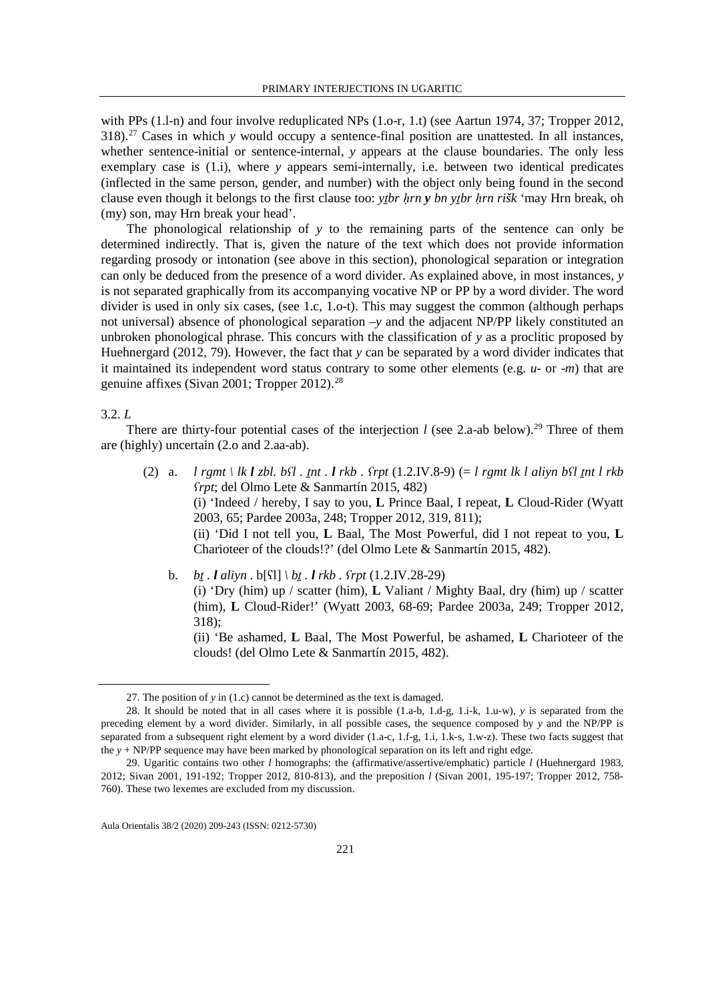with PPs (1.1-n) and four involve reduplicated NPs (1.o-r, 1.t) (see Aartun 1974, 37; Tropper 2012, 318). [27](#page-12-0) Cases in which *y* would occupy a sentence-final position are unattested. In all instances, whether sentence-initial or sentence-internal, *y* appears at the clause boundaries. The only less exemplary case is (1.i), where *y* appears semi-internally, i.e. between two identical predicates (inflected in the same person, gender, and number) with the object only being found in the second clause even though it belongs to the first clause too: *yṯbr ḥrn y bn yṯbr ḥrn rišk* 'may Hrn break, oh (my) son, may Hrn break your head'.

The phonological relationship of *y* to the remaining parts of the sentence can only be determined indirectly. That is, given the nature of the text which does not provide information regarding prosody or intonation (see above in this section), phonological separation or integration can only be deduced from the presence of a word divider. As explained above, in most instances, *y*  is not separated graphically from its accompanying vocative NP or PP by a word divider. The word divider is used in only six cases, (see 1.c, 1.o-t). This may suggest the common (although perhaps not universal) absence of phonological separation –*y* and the adjacent NP/PP likely constituted an unbroken phonological phrase. This concurs with the classification of *y* as a proclitic proposed by Huehnergard (2012, 79). However, the fact that *y* can be separated by a word divider indicates that it maintained its independent word status contrary to some other elements (e.g. *u*- or -*m*) that are genuine affixes (Sivan 2001; Tropper 2012).[28](#page-12-1)

## 3.2. *L*

There are thirty-four potential cases of the interjection  $l$  (see 2.a-ab below).<sup>[29](#page-12-2)</sup> Three of them are (highly) uncertain (2.o and 2.aa-ab).

- (2) a.  $l$  rgmt \ lk l zbl. bfl. tnt. l rkb. frpt (1.2.IV.8-9) (= l rgmt lk l aliyn bfl tnt l rkb *ʕrpt*; del Olmo Lete & Sanmartín 2015, 482) (i) 'Indeed / hereby, I say to you, **L** Prince Baal, I repeat, **L** Cloud-Rider (Wyatt 2003, 65; Pardee 2003a, 248; Tropper 2012, 319, 811); (ii) 'Did I not tell you, **L** Baal, The Most Powerful, did I not repeat to you, **L** Charioteer of the clouds!?' (del Olmo Lete & Sanmartín 2015, 482).
	- b. *bt* . *l aliyn* .  $b[9] \ \ b \ t$  *. l rkb . frpt* (1.2.IV.28-29) (i) 'Dry (him) up / scatter (him), **L** Valiant / Mighty Baal, dry (him) up / scatter (him), **L** Cloud-Rider!' (Wyatt 2003, 68-69; Pardee 2003a, 249; Tropper 2012, 318);

(ii) 'Be ashamed, **L** Baal, The Most Powerful, be ashamed, **L** Charioteer of the clouds! (del Olmo Lete & Sanmartín 2015, 482).

 <sup>27.</sup> The position of *y* in (1.c) cannot be determined as the text is damaged.

<span id="page-12-1"></span><span id="page-12-0"></span><sup>28.</sup> It should be noted that in all cases where it is possible (1.a-b, 1.d-g, 1.i-k, 1.u-w), *y* is separated from the preceding element by a word divider. Similarly, in all possible cases, the sequence composed by *y* and the NP/PP is separated from a subsequent right element by a word divider  $(1.a-c, 1.f-g, 1.i, 1.k-s, 1.w-z)$ . These two facts suggest that the *y* + NP/PP sequence may have been marked by phonological separation on its left and right edge.

<span id="page-12-2"></span><sup>29.</sup> Ugaritic contains two other *l* homographs: the (affirmative/assertive/emphatic) particle *l* (Huehnergard 1983, 2012; Sivan 2001, 191-192; Tropper 2012, 810-813), and the preposition *l* (Sivan 2001, 195-197; Tropper 2012, 758- 760). These two lexemes are excluded from my discussion.

Aula Orientalis 38/2 (2020) 209-243 (ISSN: 0212-5730)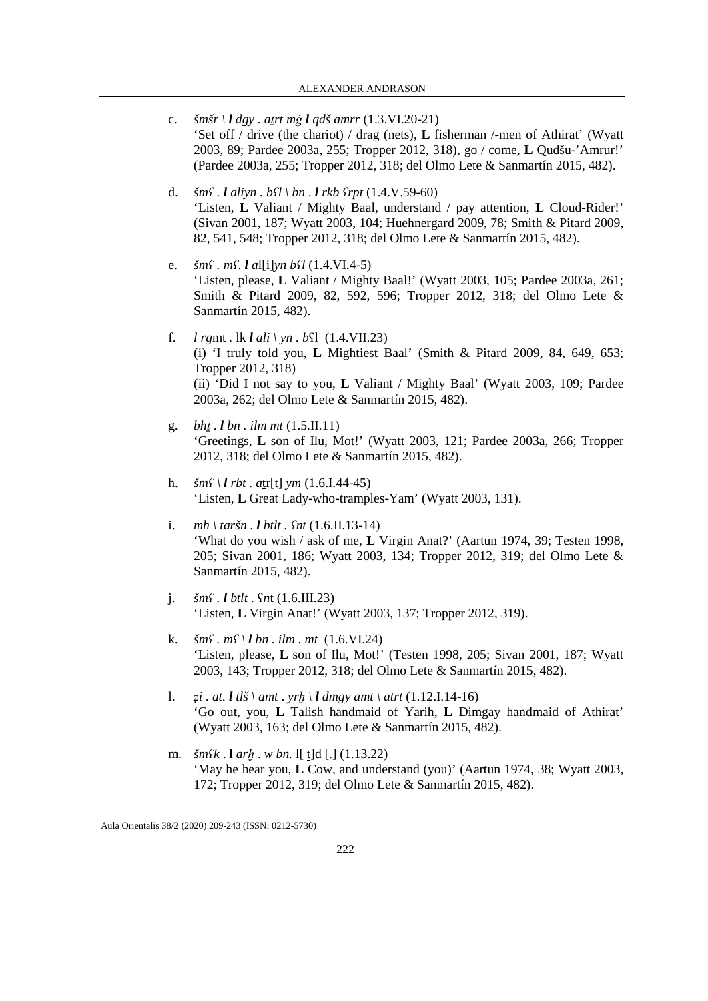- c.  $\sinh(Y)$  *l dgy . atrt mg l qdš amrr* (1.3.VI.20-21) 'Set off / drive (the chariot) / drag (nets), **L** fisherman /-men of Athirat' (Wyatt 2003, 89; Pardee 2003a, 255; Tropper 2012, 318), go / come, **L** Qudšu-'Amrur!' (Pardee 2003a, 255; Tropper 2012, 318; del Olmo Lete & Sanmartín 2015, 482).
- d. *šmʕ . l aliyn . bʕl \ bn . l rkb ʕrpt* (1.4.V.59-60) 'Listen, **L** Valiant / Mighty Baal, understand / pay attention, **L** Cloud-Rider!' (Sivan 2001, 187; Wyatt 2003, 104; Huehnergard 2009, 78; Smith & Pitard 2009, 82, 541, 548; Tropper 2012, 318; del Olmo Lete & Sanmartín 2015, 482).
- e. *šmʕ . mʕ. l a*l[i]*yn bʕl* (1.4.VI.4-5) 'Listen, please, **L** Valiant / Mighty Baal!' (Wyatt 2003, 105; Pardee 2003a, 261; Smith & Pitard 2009, 82, 592, 596; Tropper 2012, 318; del Olmo Lete & Sanmartín 2015, 482).
- f. *l rg*mt *.* lk *l ali \ yn . b*ʕl(1.4.VII.23) (i) 'I truly told you, **L** Mightiest Baal' (Smith & Pitard 2009, 84, 649, 653; Tropper 2012, 318) (ii) 'Did I not say to you, **L** Valiant / Mighty Baal' (Wyatt 2003, 109; Pardee 2003a, 262; del Olmo Lete & Sanmartín 2015, 482).
- g. *bhṯ . l bn . ilm mt* (1.5.II.11) 'Greetings, **L** son of Ilu, Mot!' (Wyatt 2003, 121; Pardee 2003a, 266; Tropper 2012, 318; del Olmo Lete & Sanmartín 2015, 482).
- h.  $\sin f \left( l \right)$  *rbt* . atr[t] *ym* (1.6.I.44-45) 'Listen, **L** Great Lady-who-tramples-Yam' (Wyatt 2003, 131).
- i. *mh \ taršn . l btlt . ʕnt* (1.6.II.13-14) 'What do you wish / ask of me, **L** Virgin Anat?' (Aartun 1974, 39; Testen 1998, 205; Sivan 2001, 186; Wyatt 2003, 134; Tropper 2012, 319; del Olmo Lete & Sanmartín 2015, 482).
- j. *šmʕ . l btlt .* ʕ*n*t (1.6.III.23) 'Listen, **L** Virgin Anat!' (Wyatt 2003, 137; Tropper 2012, 319).
- k.  $\sin\theta$ .  $m\theta \setminus l$  *bn*. *ilm*. *mt* (1.6.VI.24) 'Listen, please, **L** son of Ilu, Mot!' (Testen 1998, 205; Sivan 2001, 187; Wyatt 2003, 143; Tropper 2012, 318; del Olmo Lete & Sanmartín 2015, 482).
- l. *zi* . *at. l tlš*  $\{amt \cdot \text{yrh} \setminus \text{l } \text{dmgy} \text{ amt } \} \text{ atrt } (1.12.1.14-16)$ 'Go out, you, **L** Talish handmaid of Yarih, **L** Dimgay handmaid of Athirat' (Wyatt 2003, 163; del Olmo Lete & Sanmartín 2015, 482).
- m. *šmʕk* . **l** *arḫ* . *w bn.* l[ t]d [.] (1.13.22) 'May he hear you, **L** Cow, and understand (you)' (Aartun 1974, 38; Wyatt 2003, 172; Tropper 2012, 319; del Olmo Lete & Sanmartín 2015, 482).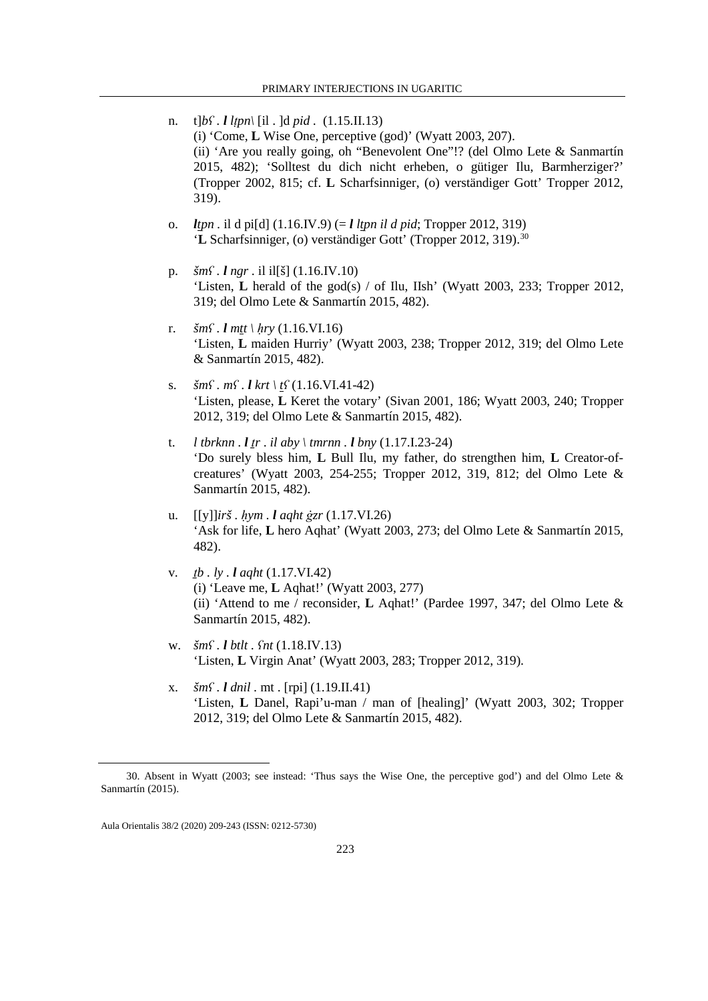- n. t]*bʕ . l lṭpn\* [il . ]d *pid .* (1.15.II.13) (i) 'Come, **L** Wise One, perceptive (god)' (Wyatt 2003, 207). (ii) 'Are you really going, oh "Benevolent One"!? (del Olmo Lete & Sanmartín 2015, 482); 'Solltest du dich nicht erheben, o gütiger Ilu, Barmherziger?' (Tropper 2002, 815; cf. **L** Scharfsinniger, (o) verständiger Gott' Tropper 2012, 319).
- o. *ltpn .* il d pi[d] (1.16.IV.9) (= *l ltpn il d pid*; Tropper 2012, 319) 'L Scharfsinniger, (o) verständiger Gott' (Tropper 2012, 319).<sup>[30](#page-14-0)</sup>
- p. *šmʕ . l ngr .* il il[š] (1.16.IV.10) 'Listen, **L** herald of the god(s) / of Ilu, IIsh' (Wyatt 2003, 233; Tropper 2012, 319; del Olmo Lete & Sanmartín 2015, 482).
- r. *šmʕ . l mtt \ ḥry* (1.16.VI.16) 'Listen, **L** maiden Hurriy' (Wyatt 2003, 238; Tropper 2012, 319; del Olmo Lete & Sanmartín 2015, 482).
- s.  $\sin f$  *ms . l krt*  $\frac{1}{f}$  (1.16.VI.41-42) 'Listen, please, **L** Keret the votary' (Sivan 2001, 186; Wyatt 2003, 240; Tropper 2012, 319; del Olmo Lete & Sanmartín 2015, 482).
- t. *l tbrknn* . *l tr* . *il aby*  $\langle$  *tmrnn* . *l bny* (1.17.I.23-24) 'Do surely bless him, **L** Bull Ilu, my father, do strengthen him, **L** Creator-ofcreatures' (Wyatt 2003, 254-255; Tropper 2012, 319, 812; del Olmo Lete & Sanmartín 2015, 482).
- u. [[y]]*irš . ḥym . l aqht ġzr* (1.17.VI.26) 'Ask for life, **L** hero Aqhat' (Wyatt 2003, 273; del Olmo Lete & Sanmartín 2015, 482).
- v. *ṯb . ly . l aqht* (1.17.VI.42) (i) 'Leave me, **L** Aqhat!' (Wyatt 2003, 277) (ii) 'Attend to me / reconsider, **L** Aqhat!' (Pardee 1997, 347; del Olmo Lete & Sanmartín 2015, 482).
- w. *šmʕ . l btlt . ʕnt* (1.18.IV.13) 'Listen, **L** Virgin Anat' (Wyatt 2003, 283; Tropper 2012, 319).
- x. *šmʕ . l dnil .* mt . [rpi] (1.19.II.41) 'Listen, **L** Danel, Rapi'u-man / man of [healing]' (Wyatt 2003, 302; Tropper 2012, 319; del Olmo Lete & Sanmartín 2015, 482).

<span id="page-14-0"></span> <sup>30.</sup> Absent in Wyatt (2003; see instead: 'Thus says the Wise One, the perceptive god') and del Olmo Lete & Sanmartín (2015).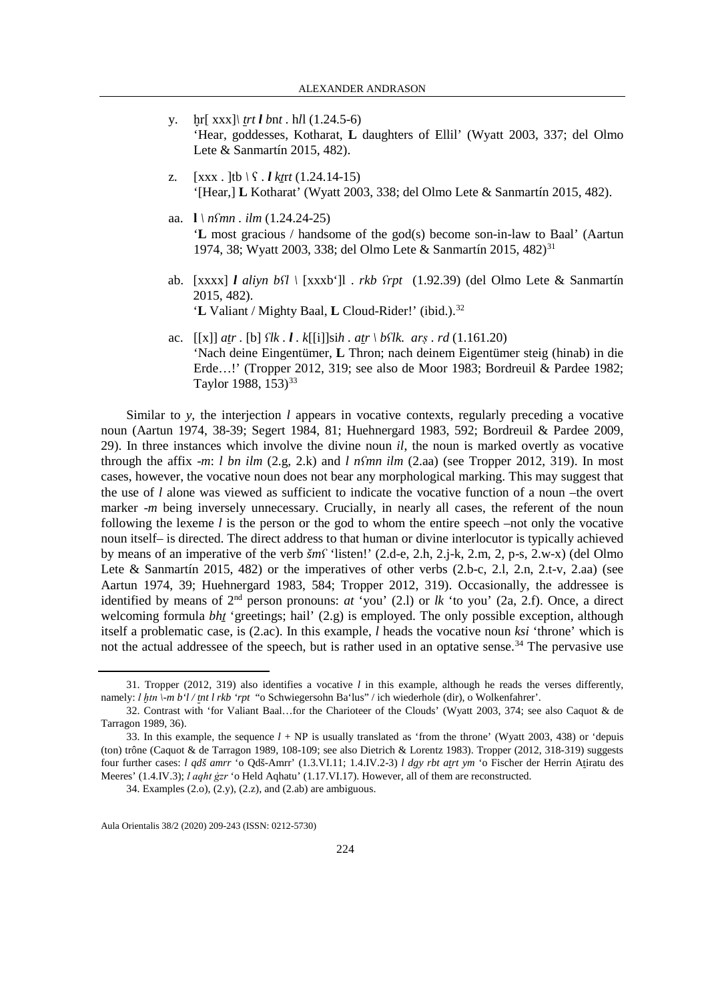- y. hr $\lceil \text{xxx} \rceil$  *trt l b*n*t* . h*l*l  $(1.24.5-6)$ 'Hear, goddesses, Kotharat, **L** daughters of Ellil' (Wyatt 2003, 337; del Olmo Lete & Sanmartín 2015, 482).
- z.  $[xxxx.]$   $[tb \ | \ S.]$ *l ktrt*  $(1.24.14-15)$ '[Hear,] **L** Kotharat' (Wyatt 2003, 338; del Olmo Lete & Sanmartín 2015, 482).
- aa. **l** *\ nʕmn . ilm* (1.24.24-25) '**L** most gracious / handsome of the god(s) become son-in-law to Baal' (Aartun 1974, 38; Wyatt 2003, 338; del Olmo Lete & Sanmartín 2015, 482)<sup>[31](#page-15-0)</sup>
- ab. [xxxx] *l aliyn bʕl \* [xxxb']l . *rkb ʕrpt* (1.92.39) (del Olmo Lete & Sanmartín 2015, 482). 'L Valiant / Mighty Baal, L Cloud-Rider!' (ibid.).<sup>[32](#page-15-1)</sup>
- ac. [[x]] *atr .* [b] *ʕlk . l . k*[[i]]si*h . atr \ bʕlk. arṣ . rd* (1.161.20) 'Nach deine Eingentümer, **L** Thron; nach deinem Eigentümer steig (hinab) in die Erde…!' (Tropper 2012, 319; see also de Moor 1983; Bordreuil & Pardee 1982; Taylor 1988,  $153$ <sup>[33](#page-15-2)</sup>

Similar to *y*, the interjection *l* appears in vocative contexts, regularly preceding a vocative noun (Aartun 1974, 38-39; Segert 1984, 81; Huehnergard 1983, 592; Bordreuil & Pardee 2009, 29). In three instances which involve the divine noun *il*, the noun is marked overtly as vocative through the affix -*m*: *l bn ilm* (2.g, 2.k) and *l nʕmn ilm* (2.aa) (see Tropper 2012, 319). In most cases, however, the vocative noun does not bear any morphological marking. This may suggest that the use of *l* alone was viewed as sufficient to indicate the vocative function of a noun –the overt marker -*m* being inversely unnecessary. Crucially, in nearly all cases, the referent of the noun following the lexeme *l* is the person or the god to whom the entire speech –not only the vocative noun itself– is directed. The direct address to that human or divine interlocutor is typically achieved by means of an imperative of the verb *šmʕ* 'listen!' (2.d-e, 2.h, 2.j-k, 2.m, 2, p-s, 2.w-x) (del Olmo Lete & Sanmartín 2015, 482) or the imperatives of other verbs (2.b-c, 2.l, 2.n, 2.t-v, 2.aa) (see Aartun 1974, 39; Huehnergard 1983, 584; Tropper 2012, 319). Occasionally, the addressee is identified by means of 2nd person pronouns: *at* 'you' (2.l) or *lk* 'to you' (2a, 2.f). Once, a direct welcoming formula *bh*<sup>*t*</sup> 'greetings; hail' (2.g) is employed. The only possible exception, although itself a problematic case, is (2.ac). In this example, *l* heads the vocative noun *ksi* 'throne' which is not the actual addressee of the speech, but is rather used in an optative sense.<sup>[34](#page-15-3)</sup> The pervasive use

<span id="page-15-0"></span> <sup>31.</sup> Tropper (2012, 319) also identifies a vocative *l* in this example, although he reads the verses differently, namely: *l ḫtn \-m b'l / tnt l rkb 'rpt* "o Schwiegersohn Ba'lus" / ich wiederhole (dir), o Wolkenfahrer'.

<span id="page-15-1"></span><sup>32.</sup> Contrast with 'for Valiant Baal…for the Charioteer of the Clouds' (Wyatt 2003, 374; see also Caquot & de Tarragon 1989, 36).

<span id="page-15-3"></span><span id="page-15-2"></span><sup>33.</sup> In this example, the sequence  $l + NP$  is usually translated as 'from the throne' (Wyatt 2003, 438) or 'depuis (ton) trône (Caquot & de Tarragon 1989, 108-109; see also Dietrich & Lorentz 1983). Tropper (2012, 318-319) suggests four further cases: *l qdš amrr* 'o Qdš-Amrr' (1.3.VI.11; 1.4.IV.2-3) *l dgy rbt atrt ym* 'o Fischer der Herrin Atiratu des Meeres' (1.4.IV.3); *l aqht ġzr* 'o Held Aqhatu' (1.17.VI.17). However, all of them are reconstructed.

<sup>34.</sup> Examples (2.o), (2.y), (2.z), and (2.ab) are ambiguous.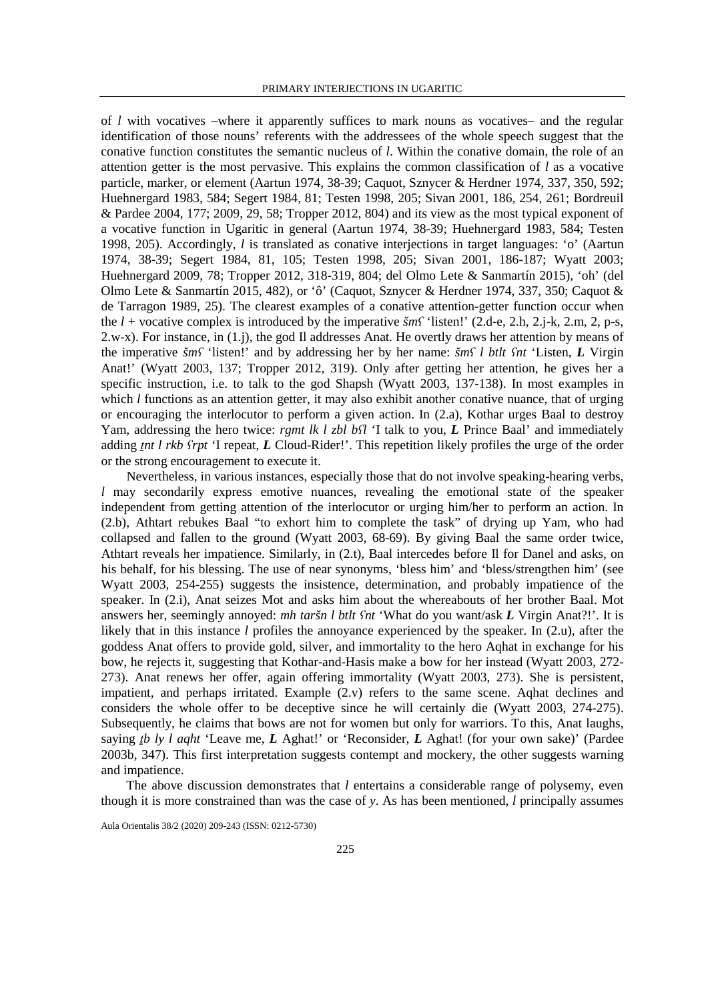of *l* with vocatives –where it apparently suffices to mark nouns as vocatives– and the regular identification of those nouns' referents with the addressees of the whole speech suggest that the conative function constitutes the semantic nucleus of *l*. Within the conative domain, the role of an attention getter is the most pervasive. This explains the common classification of *l* as a vocative particle, marker, or element (Aartun 1974, 38-39; Caquot, Sznycer & Herdner 1974, 337, 350, 592; Huehnergard 1983, 584; Segert 1984, 81; Testen 1998, 205; Sivan 2001, 186, 254, 261; Bordreuil & Pardee 2004, 177; 2009, 29, 58; Tropper 2012, 804) and its view as the most typical exponent of a vocative function in Ugaritic in general (Aartun 1974, 38-39; Huehnergard 1983, 584; Testen 1998, 205). Accordingly, *l* is translated as conative interjections in target languages: 'o' (Aartun 1974, 38-39; Segert 1984, 81, 105; Testen 1998, 205; Sivan 2001, 186-187; Wyatt 2003; Huehnergard 2009, 78; Tropper 2012, 318-319, 804; del Olmo Lete & Sanmartín 2015), 'oh' (del Olmo Lete & Sanmartín 2015, 482), or 'ô' (Caquot, Sznycer & Herdner 1974, 337, 350; Caquot & de Tarragon 1989, 25). The clearest examples of a conative attention-getter function occur when the  $l$  + vocative complex is introduced by the imperative  $\zeta m\zeta$  'listen!' (2.d-e, 2.h, 2.j-k, 2.m, 2, p-s, 2.w-x). For instance, in (1.j), the god Il addresses Anat. He overtly draws her attention by means of the imperative *šmʕ* 'listen!' and by addressing her by her name: *šmʕ l btlt ʕnt* 'Listen, *L* Virgin Anat!' (Wyatt 2003, 137; Tropper 2012, 319). Only after getting her attention, he gives her a specific instruction, i.e. to talk to the god Shapsh (Wyatt 2003, 137-138). In most examples in which *l* functions as an attention getter, it may also exhibit another conative nuance, that of urging or encouraging the interlocutor to perform a given action. In (2.a), Kothar urges Baal to destroy Yam, addressing the hero twice: *rgmt lk l zbl b<sup>o</sup>* $l$  *'I talk to you, L Prince Baal' and immediately* adding *tnt l rkb*  $S$ *rpt* 'I repeat, *L* Cloud-Rider!'. This repetition likely profiles the urge of the order or the strong encouragement to execute it.

Nevertheless, in various instances, especially those that do not involve speaking-hearing verbs, *l* may secondarily express emotive nuances, revealing the emotional state of the speaker independent from getting attention of the interlocutor or urging him/her to perform an action. In (2.b), Athtart rebukes Baal "to exhort him to complete the task" of drying up Yam, who had collapsed and fallen to the ground (Wyatt 2003, 68-69). By giving Baal the same order twice, Athtart reveals her impatience. Similarly, in (2.t), Baal intercedes before Il for Danel and asks, on his behalf, for his blessing. The use of near synonyms, 'bless him' and 'bless/strengthen him' (see Wyatt 2003, 254-255) suggests the insistence, determination, and probably impatience of the speaker. In (2.i), Anat seizes Mot and asks him about the whereabouts of her brother Baal. Mot answers her, seemingly annoyed: *mh taršn l btlt ʕnt* 'What do you want/ask *L* Virgin Anat?!'. It is likely that in this instance *l* profiles the annoyance experienced by the speaker. In (2.u), after the goddess Anat offers to provide gold, silver, and immortality to the hero Aqhat in exchange for his bow, he rejects it, suggesting that Kothar-and-Hasis make a bow for her instead (Wyatt 2003, 272- 273). Anat renews her offer, again offering immortality (Wyatt 2003, 273). She is persistent, impatient, and perhaps irritated. Example (2.v) refers to the same scene. Aqhat declines and considers the whole offer to be deceptive since he will certainly die (Wyatt 2003, 274-275). Subsequently, he claims that bows are not for women but only for warriors. To this, Anat laughs, saying *ṯb ly l aqht* 'Leave me, *L* Aghat!' or 'Reconsider, *L* Aghat! (for your own sake)' (Pardee 2003b, 347). This first interpretation suggests contempt and mockery, the other suggests warning and impatience.

The above discussion demonstrates that *l* entertains a considerable range of polysemy, even though it is more constrained than was the case of *y*. As has been mentioned, *l* principally assumes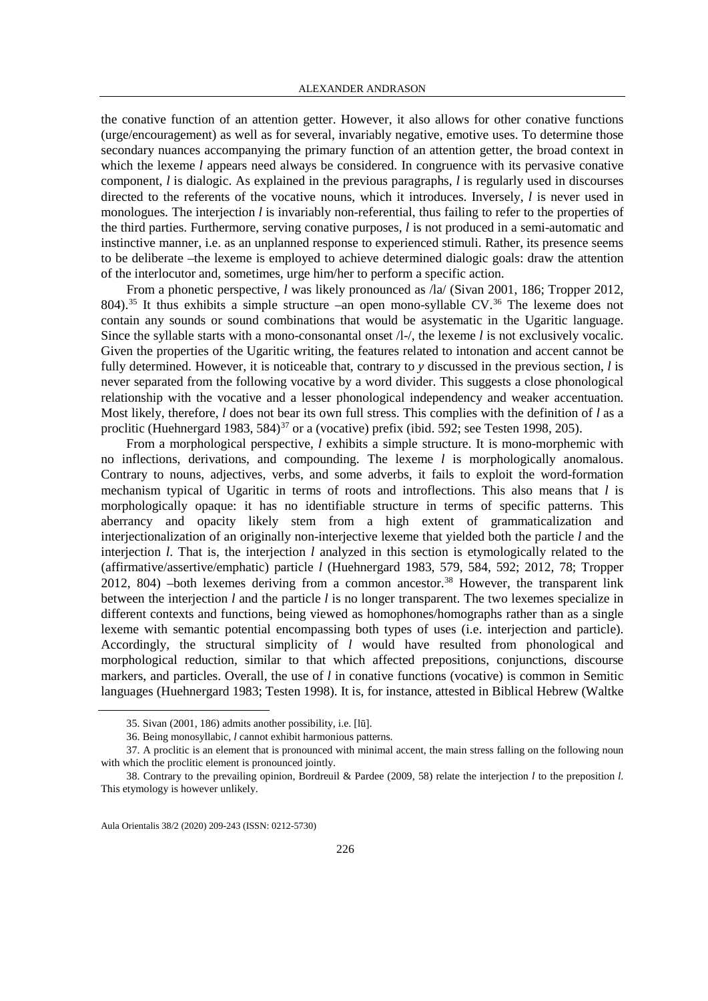the conative function of an attention getter. However, it also allows for other conative functions (urge/encouragement) as well as for several, invariably negative, emotive uses. To determine those secondary nuances accompanying the primary function of an attention getter, the broad context in which the lexeme *l* appears need always be considered. In congruence with its pervasive conative component, *l* is dialogic. As explained in the previous paragraphs, *l* is regularly used in discourses directed to the referents of the vocative nouns, which it introduces. Inversely, *l* is never used in monologues. The interjection *l* is invariably non-referential, thus failing to refer to the properties of the third parties. Furthermore, serving conative purposes, *l* is not produced in a semi-automatic and instinctive manner, i.e. as an unplanned response to experienced stimuli. Rather, its presence seems to be deliberate –the lexeme is employed to achieve determined dialogic goals: draw the attention of the interlocutor and, sometimes, urge him/her to perform a specific action.

From a phonetic perspective, *l* was likely pronounced as /la/ (Sivan 2001, 186; Tropper 2012, 804).<sup>35</sup> It thus exhibits a simple structure –an open mono-syllable CV.<sup>[36](#page-17-1)</sup> The lexeme does not contain any sounds or sound combinations that would be asystematic in the Ugaritic language. Since the syllable starts with a mono-consonantal onset /l-/, the lexeme *l* is not exclusively vocalic. Given the properties of the Ugaritic writing, the features related to intonation and accent cannot be fully determined. However, it is noticeable that, contrary to *y* discussed in the previous section, *l* is never separated from the following vocative by a word divider. This suggests a close phonological relationship with the vocative and a lesser phonological independency and weaker accentuation. Most likely, therefore, *l* does not bear its own full stress. This complies with the definition of *l* as a proclitic (Huehnergard 1983,  $584$ )<sup>37</sup> or a (vocative) prefix (ibid. 592; see Testen 1998, 205).

From a morphological perspective, *l* exhibits a simple structure. It is mono-morphemic with no inflections, derivations, and compounding. The lexeme *l* is morphologically anomalous. Contrary to nouns, adjectives, verbs, and some adverbs, it fails to exploit the word-formation mechanism typical of Ugaritic in terms of roots and introflections. This also means that *l* is morphologically opaque: it has no identifiable structure in terms of specific patterns. This aberrancy and opacity likely stem from a high extent of grammaticalization and interjectionalization of an originally non-interjective lexeme that yielded both the particle *l* and the interjection *l*. That is, the interjection *l* analyzed in this section is etymologically related to the (affirmative/assertive/emphatic) particle *l* (Huehnergard 1983, 579, 584, 592; 2012, 78; Tropper 2012, 804) –both lexemes deriving from a common ancestor.<sup>[38](#page-17-3)</sup> However, the transparent link between the interjection *l* and the particle *l* is no longer transparent. The two lexemes specialize in different contexts and functions, being viewed as homophones/homographs rather than as a single lexeme with semantic potential encompassing both types of uses (i.e. interjection and particle). Accordingly, the structural simplicity of *l* would have resulted from phonological and morphological reduction, similar to that which affected prepositions, conjunctions, discourse markers, and particles. Overall, the use of *l* in conative functions (vocative) is common in Semitic languages (Huehnergard 1983; Testen 1998). It is, for instance, attested in Biblical Hebrew (Waltke

 <sup>35.</sup> Sivan (2001, 186) admits another possibility, i.e. [lū].

<sup>36.</sup> Being monosyllabic, *l* cannot exhibit harmonious patterns.

<span id="page-17-2"></span><span id="page-17-1"></span><span id="page-17-0"></span><sup>37.</sup> A proclitic is an element that is pronounced with minimal accent, the main stress falling on the following noun with which the proclitic element is pronounced jointly.

<span id="page-17-3"></span><sup>38.</sup> Contrary to the prevailing opinion, Bordreuil & Pardee (2009, 58) relate the interjection *l* to the preposition *l*. This etymology is however unlikely.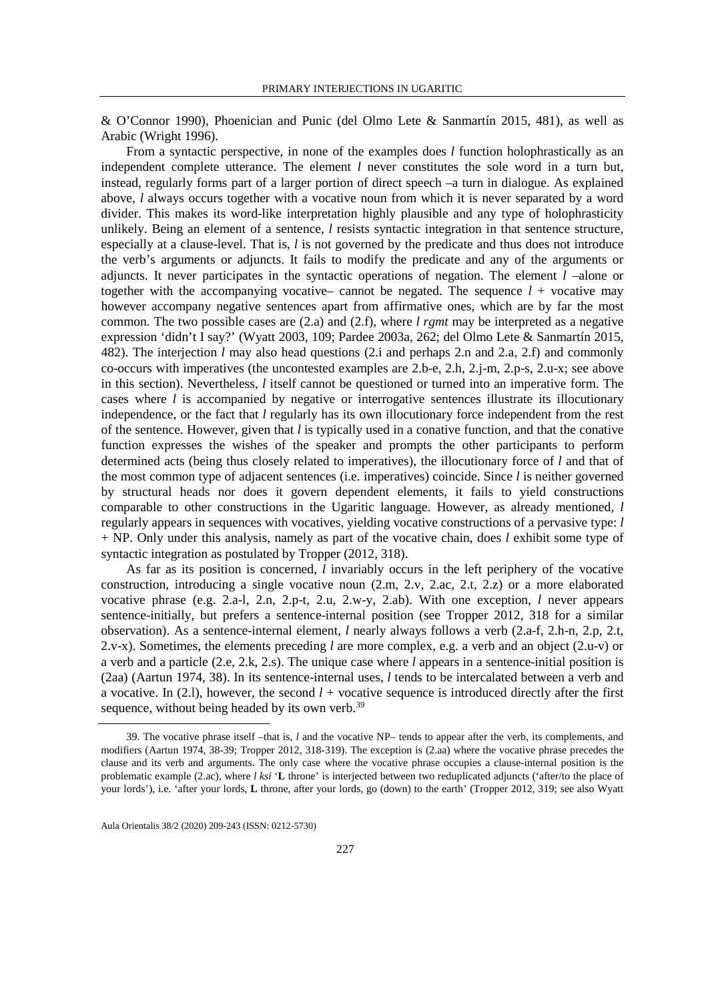& O'Connor 1990), Phoenician and Punic (del Olmo Lete & Sanmartín 2015, 481), as well as Arabic (Wright 1996).

From a syntactic perspective, in none of the examples does *l* function holophrastically as an independent complete utterance. The element *l* never constitutes the sole word in a turn but, instead, regularly forms part of a larger portion of direct speech –a turn in dialogue. As explained above, *l* always occurs together with a vocative noun from which it is never separated by a word divider. This makes its word-like interpretation highly plausible and any type of holophrasticity unlikely. Being an element of a sentence, *l* resists syntactic integration in that sentence structure, especially at a clause-level. That is, *l* is not governed by the predicate and thus does not introduce the verb's arguments or adjuncts. It fails to modify the predicate and any of the arguments or adjuncts. It never participates in the syntactic operations of negation. The element *l* –alone or together with the accompanying vocative– cannot be negated. The sequence  $l +$  vocative may however accompany negative sentences apart from affirmative ones, which are by far the most common. The two possible cases are (2.a) and (2.f), where *l rgmt* may be interpreted as a negative expression 'didn't I say?' (Wyatt 2003, 109; Pardee 2003a, 262; del Olmo Lete & Sanmartín 2015, 482). The interjection *l* may also head questions (2.i and perhaps 2.n and 2.a, 2.f) and commonly co-occurs with imperatives (the uncontested examples are 2.b-e, 2.h, 2.j-m, 2.p-s, 2.u-x; see above in this section). Nevertheless, *l* itself cannot be questioned or turned into an imperative form. The cases where *l* is accompanied by negative or interrogative sentences illustrate its illocutionary independence, or the fact that *l* regularly has its own illocutionary force independent from the rest of the sentence. However, given that *l* is typically used in a conative function, and that the conative function expresses the wishes of the speaker and prompts the other participants to perform determined acts (being thus closely related to imperatives), the illocutionary force of *l* and that of the most common type of adjacent sentences (i.e. imperatives) coincide. Since *l* is neither governed by structural heads nor does it govern dependent elements, it fails to yield constructions comparable to other constructions in the Ugaritic language. However, as already mentioned, *l* regularly appears in sequences with vocatives, yielding vocative constructions of a pervasive type: *l* + NP. Only under this analysis, namely as part of the vocative chain, does *l* exhibit some type of syntactic integration as postulated by Tropper (2012, 318).

As far as its position is concerned, *l* invariably occurs in the left periphery of the vocative construction, introducing a single vocative noun (2.m, 2.v, 2.ac, 2.t, 2.z) or a more elaborated vocative phrase (e.g. 2.a-l, 2.n, 2.p-t, 2.u, 2.w-y, 2.ab). With one exception, *l* never appears sentence-initially, but prefers a sentence-internal position (see Tropper 2012, 318 for a similar observation). As a sentence-internal element, *l* nearly always follows a verb (2.a-f, 2.h-n, 2.p, 2.t, 2.v-x). Sometimes, the elements preceding *l* are more complex, e.g. a verb and an object (2.u-v) or a verb and a particle (2.e, 2.k, 2.s). The unique case where *l* appears in a sentence-initial position is (2aa) (Aartun 1974, 38). In its sentence-internal uses, *l* tends to be intercalated between a verb and a vocative. In (2.1), however, the second  $l$  + vocative sequence is introduced directly after the first sequence, without being headed by its own verb.<sup>[39](#page-18-0)</sup>

<span id="page-18-0"></span> <sup>39.</sup> The vocative phrase itself –that is, *l* and the vocative NP– tends to appear after the verb, its complements, and modifiers (Aartun 1974, 38-39; Tropper 2012, 318-319). The exception is (2.aa) where the vocative phrase precedes the clause and its verb and arguments. The only case where the vocative phrase occupies a clause-internal position is the problematic example (2.ac), where *l ksi* '**L** throne' is interjected between two reduplicated adjuncts ('after/to the place of your lords'), i.e. 'after your lords, **L** throne, after your lords, go (down) to the earth' (Tropper 2012, 319; see also Wyatt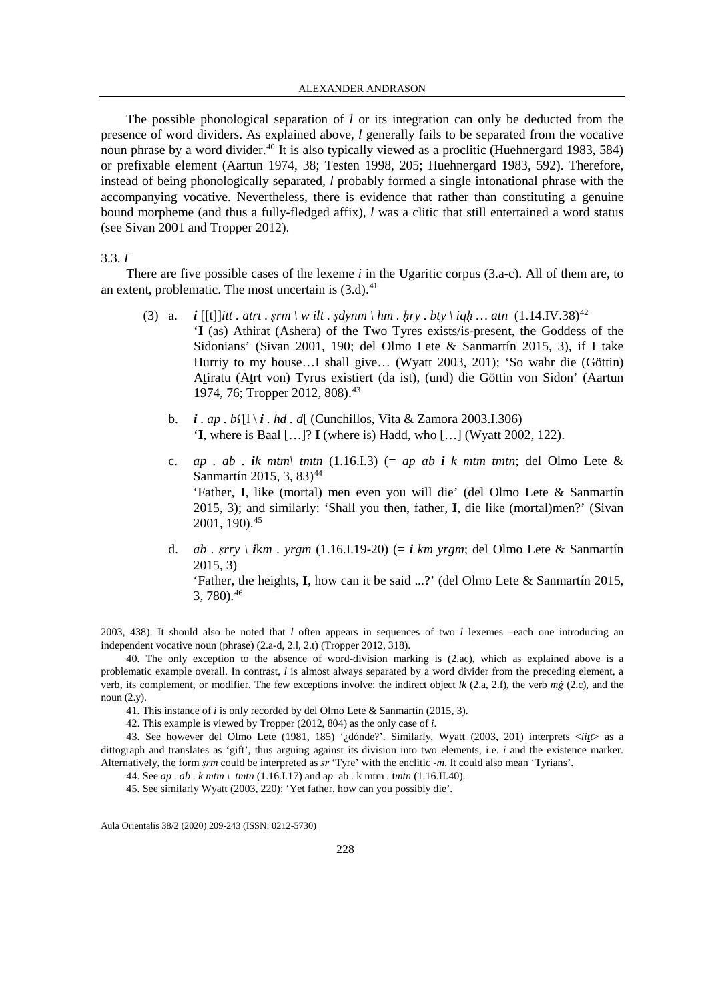The possible phonological separation of *l* or its integration can only be deducted from the presence of word dividers. As explained above, *l* generally fails to be separated from the vocative noun phrase by a word divider.<sup>[40](#page-19-0)</sup> It is also typically viewed as a proclitic (Huehnergard 1983, 584) or prefixable element (Aartun 1974, 38; Testen 1998, 205; Huehnergard 1983, 592). Therefore, instead of being phonologically separated, *l* probably formed a single intonational phrase with the accompanying vocative. Nevertheless, there is evidence that rather than constituting a genuine bound morpheme (and thus a fully-fledged affix), *l* was a clitic that still entertained a word status (see Sivan 2001 and Tropper 2012).

## 3.3. *I*

There are five possible cases of the lexeme *i* in the Ugaritic corpus (3.a-c). All of them are, to an extent, problematic. The most uncertain is  $(3. d)$ .<sup>[41](#page-19-1)</sup>

- (3) a. *i* [[t]]*itt . atrt . srm \w ilt . sdynm \hm . hry . bty \igh ... atn*  $(1.14.IV.38)^{42}$  $(1.14.IV.38)^{42}$  $(1.14.IV.38)^{42}$ '**I** (as) Athirat (Ashera) of the Two Tyres exists/is-present, the Goddess of the Sidonians' (Sivan 2001, 190; del Olmo Lete & Sanmartín 2015, 3), if I take Hurriy to my house…I shall give… (Wyatt 2003, 201); 'So wahr die (Göttin) Atiratu (Atrt von) Tyrus existiert (da ist), (und) die Göttin von Sidon' (Aartun 1974, 76; Tropper 2012, 808). [43](#page-19-3)
	- b.  $i$  *ap*  $b$ <sup>*s*[1]</sup>  $\backslash i$  *. hd . d*[ (Cunchillos, Vita & Zamora 2003.I.306) '**I**, where is Baal […]? **I** (where is) Hadd, who […] (Wyatt 2002, 122).
	- c. *ap . ab . ik mtm* $\langle$  *tmtn* (1.16.I.3) (= *ap ab i k mtm tmtn*; del Olmo Lete & Sanmartín 2015, 3, 83)[44](#page-19-4) 'Father, **I**, like (mortal) men even you will die' (del Olmo Lete & Sanmartín 2015, 3); and similarly: 'Shall you then, father, **I**, die like (mortal)men?' (Sivan 2001, 190). [45](#page-19-5)
	- d. *ab . ṣrry \ i*k*m . yrgm* (1.16.I.19-20) (= *i km yrgm*; del Olmo Lete & Sanmartín 2015, 3) 'Father, the heights, **I**, how can it be said ...?' (del Olmo Lete & Sanmartín 2015,

2003, 438). It should also be noted that *l* often appears in sequences of two *l* lexemes –each one introducing an independent vocative noun (phrase) (2.a-d, 2.l, 2.t) (Tropper 2012, 318).

<span id="page-19-0"></span>40. The only exception to the absence of word-division marking is (2.ac), which as explained above is a problematic example overall. In contrast, *l* is almost always separated by a word divider from the preceding element, a verb, its complement, or modifier. The few exceptions involve: the indirect object *lk* (2.a, 2.f), the verb *mġ* (2.c), and the noun (2.y).

- 41. This instance of *i* is only recorded by del Olmo Lete & Sanmartín (2015, 3).
- 42. This example is viewed by Tropper (2012, 804) as the only case of *i*.

<span id="page-19-4"></span><span id="page-19-3"></span><span id="page-19-2"></span><span id="page-19-1"></span>43. See however del Olmo Lete (1981, 185) '¿dónde?'. Similarly, Wyatt (2003, 201) interprets <*iitt*> as a dittograph and translates as 'gift', thus arguing against its division into two elements, i.e. *i* and the existence marker. Alternatively, the form *ṣrm* could be interpreted as *ṣr* 'Tyre' with the enclitic -*m*. It could also mean 'Tyrians'.

44. See *ap . ab . k mtm \ tmtn* (1.16.I.17) and a*p* ab *.* k mtm *.* t*mtn* (1.16.II.40).

45. See similarly Wyatt (2003, 220): 'Yet father, how can you possibly die'.

<span id="page-19-5"></span>Aula Orientalis 38/2 (2020) 209-243 (ISSN: 0212-5730)

3, 780). [46](#page-19-5)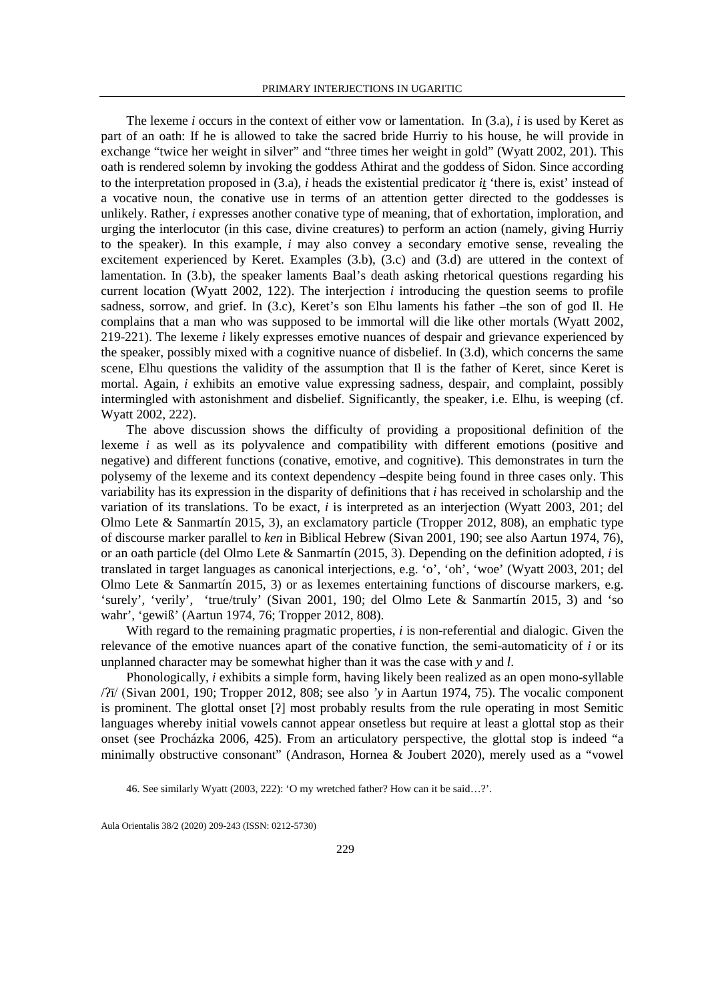The lexeme *i* occurs in the context of either vow or lamentation. In (3.a), *i* is used by Keret as part of an oath: If he is allowed to take the sacred bride Hurriy to his house, he will provide in exchange "twice her weight in silver" and "three times her weight in gold" (Wyatt 2002, 201). This oath is rendered solemn by invoking the goddess Athirat and the goddess of Sidon. Since according to the interpretation proposed in (3.a), *i* heads the existential predicator *it* 'there is, exist' instead of a vocative noun, the conative use in terms of an attention getter directed to the goddesses is unlikely. Rather, *i* expresses another conative type of meaning, that of exhortation, imploration, and urging the interlocutor (in this case, divine creatures) to perform an action (namely, giving Hurriy to the speaker). In this example, *i* may also convey a secondary emotive sense, revealing the excitement experienced by Keret. Examples (3.b), (3.c) and (3.d) are uttered in the context of lamentation. In (3.b), the speaker laments Baal's death asking rhetorical questions regarding his current location (Wyatt 2002, 122). The interjection *i* introducing the question seems to profile sadness, sorrow, and grief. In (3.c), Keret's son Elhu laments his father –the son of god Il. He complains that a man who was supposed to be immortal will die like other mortals (Wyatt 2002, 219-221). The lexeme *i* likely expresses emotive nuances of despair and grievance experienced by the speaker, possibly mixed with a cognitive nuance of disbelief. In (3.d), which concerns the same scene, Elhu questions the validity of the assumption that Il is the father of Keret, since Keret is mortal. Again, *i* exhibits an emotive value expressing sadness, despair, and complaint, possibly intermingled with astonishment and disbelief. Significantly, the speaker, i.e. Elhu, is weeping (cf. Wyatt 2002, 222).

The above discussion shows the difficulty of providing a propositional definition of the lexeme *i* as well as its polyvalence and compatibility with different emotions (positive and negative) and different functions (conative, emotive, and cognitive). This demonstrates in turn the polysemy of the lexeme and its context dependency –despite being found in three cases only. This variability has its expression in the disparity of definitions that *i* has received in scholarship and the variation of its translations. To be exact, *i* is interpreted as an interjection (Wyatt 2003, 201; del Olmo Lete & Sanmartín 2015, 3), an exclamatory particle (Tropper 2012, 808), an emphatic type of discourse marker parallel to *ken* in Biblical Hebrew (Sivan 2001, 190; see also Aartun 1974, 76), or an oath particle (del Olmo Lete & Sanmartín (2015, 3). Depending on the definition adopted, *i* is translated in target languages as canonical interjections, e.g. 'o', 'oh', 'woe' (Wyatt 2003, 201; del Olmo Lete & Sanmartín 2015, 3) or as lexemes entertaining functions of discourse markers, e.g. 'surely', 'verily', 'true/truly' (Sivan 2001, 190; del Olmo Lete & Sanmartín 2015, 3) and 'so wahr', 'gewiß' (Aartun 1974, 76; Tropper 2012, 808).

With regard to the remaining pragmatic properties, *i* is non-referential and dialogic. Given the relevance of the emotive nuances apart of the conative function, the semi-automaticity of *i* or its unplanned character may be somewhat higher than it was the case with *y* and *l*.

Phonologically, *i* exhibits a simple form, having likely been realized as an open mono-syllable /ʔī/ (Sivan 2001, 190; Tropper 2012, 808; see also *'y* in Aartun 1974, 75). The vocalic component is prominent. The glottal onset [ʔ] most probably results from the rule operating in most Semitic languages whereby initial vowels cannot appear onsetless but require at least a glottal stop as their onset (see Procházka 2006, 425). From an articulatory perspective, the glottal stop is indeed "a minimally obstructive consonant" (Andrason, Hornea & Joubert 2020), merely used as a "vowel

<sup>46.</sup> See similarly Wyatt (2003, 222): 'O my wretched father? How can it be said…?'.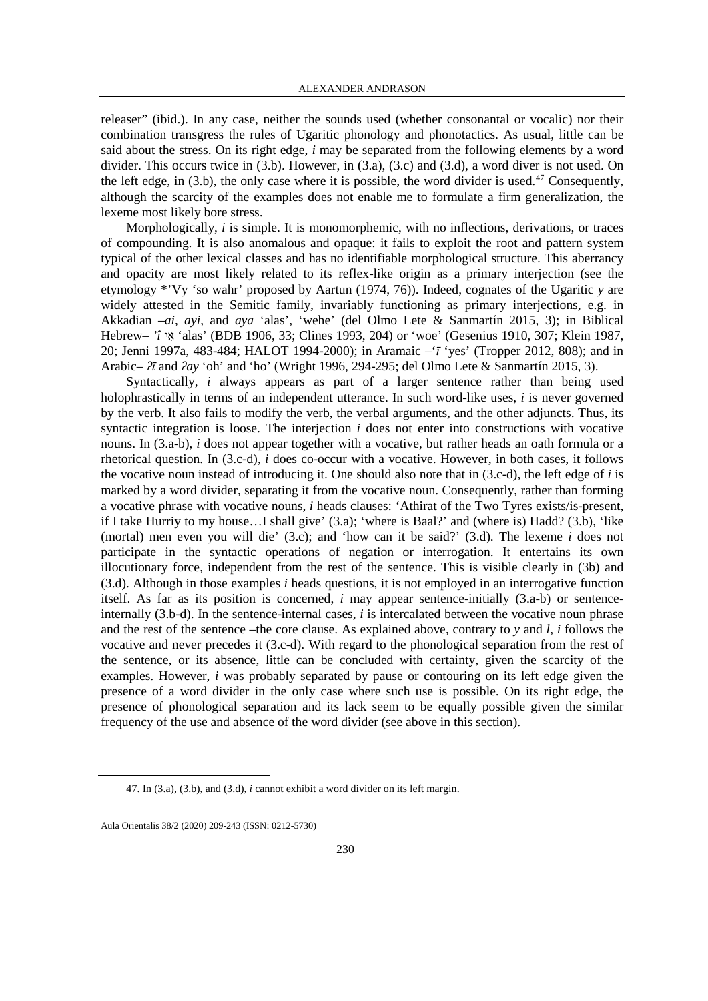releaser" (ibid.). In any case, neither the sounds used (whether consonantal or vocalic) nor their combination transgress the rules of Ugaritic phonology and phonotactics. As usual, little can be said about the stress. On its right edge, *i* may be separated from the following elements by a word divider. This occurs twice in (3.b). However, in (3.a), (3.c) and (3.d), a word diver is not used. On the left edge, in  $(3.b)$ , the only case where it is possible, the word divider is used.<sup>[47](#page-21-0)</sup> Consequently, although the scarcity of the examples does not enable me to formulate a firm generalization, the lexeme most likely bore stress.

Morphologically, *i* is simple. It is monomorphemic, with no inflections, derivations, or traces of compounding. It is also anomalous and opaque: it fails to exploit the root and pattern system typical of the other lexical classes and has no identifiable morphological structure. This aberrancy and opacity are most likely related to its reflex-like origin as a primary interjection (see the etymology \*'Vy 'so wahr' proposed by Aartun (1974, 76)). Indeed, cognates of the Ugaritic *y* are widely attested in the Semitic family, invariably functioning as primary interjections, e.g. in Akkadian –*ai*, *ayi*, and *aya* 'alas', 'wehe' (del Olmo Lete & Sanmartín 2015, 3); in Biblical Hebrew– '*î* 'x 'alas' (BDB 1906, 33; Clines 1993, 204) or 'woe' (Gesenius 1910, 307; Klein 1987, 20; Jenni 1997a, 483-484; HALOT 1994-2000); in Aramaic –'*ī* 'yes' (Tropper 2012, 808); and in Arabic– *ʔī* and *ʔay* 'oh' and 'ho' (Wright 1996, 294-295; del Olmo Lete & Sanmartín 2015, 3).

Syntactically, *i* always appears as part of a larger sentence rather than being used holophrastically in terms of an independent utterance. In such word-like uses, *i* is never governed by the verb. It also fails to modify the verb, the verbal arguments, and the other adjuncts. Thus, its syntactic integration is loose. The interjection *i* does not enter into constructions with vocative nouns. In (3.a-b), *i* does not appear together with a vocative, but rather heads an oath formula or a rhetorical question. In (3.c-d), *i* does co-occur with a vocative. However, in both cases, it follows the vocative noun instead of introducing it. One should also note that in (3.c-d), the left edge of *i* is marked by a word divider, separating it from the vocative noun. Consequently, rather than forming a vocative phrase with vocative nouns, *i* heads clauses: 'Athirat of the Two Tyres exists/is-present, if I take Hurriy to my house…I shall give' (3.a); 'where is Baal?' and (where is) Hadd? (3.b), 'like (mortal) men even you will die' (3.c); and 'how can it be said?' (3.d). The lexeme *i* does not participate in the syntactic operations of negation or interrogation. It entertains its own illocutionary force, independent from the rest of the sentence. This is visible clearly in (3b) and (3.d). Although in those examples *i* heads questions, it is not employed in an interrogative function itself. As far as its position is concerned, *i* may appear sentence-initially (3.a-b) or sentenceinternally (3.b-d). In the sentence-internal cases, *i* is intercalated between the vocative noun phrase and the rest of the sentence –the core clause. As explained above, contrary to *y* and *l*, *i* follows the vocative and never precedes it (3.c-d). With regard to the phonological separation from the rest of the sentence, or its absence, little can be concluded with certainty, given the scarcity of the examples. However, *i* was probably separated by pause or contouring on its left edge given the presence of a word divider in the only case where such use is possible. On its right edge, the presence of phonological separation and its lack seem to be equally possible given the similar frequency of the use and absence of the word divider (see above in this section).

<span id="page-21-0"></span> <sup>47.</sup> In (3.a), (3.b), and (3.d), *<sup>i</sup>* cannot exhibit a word divider on its left margin.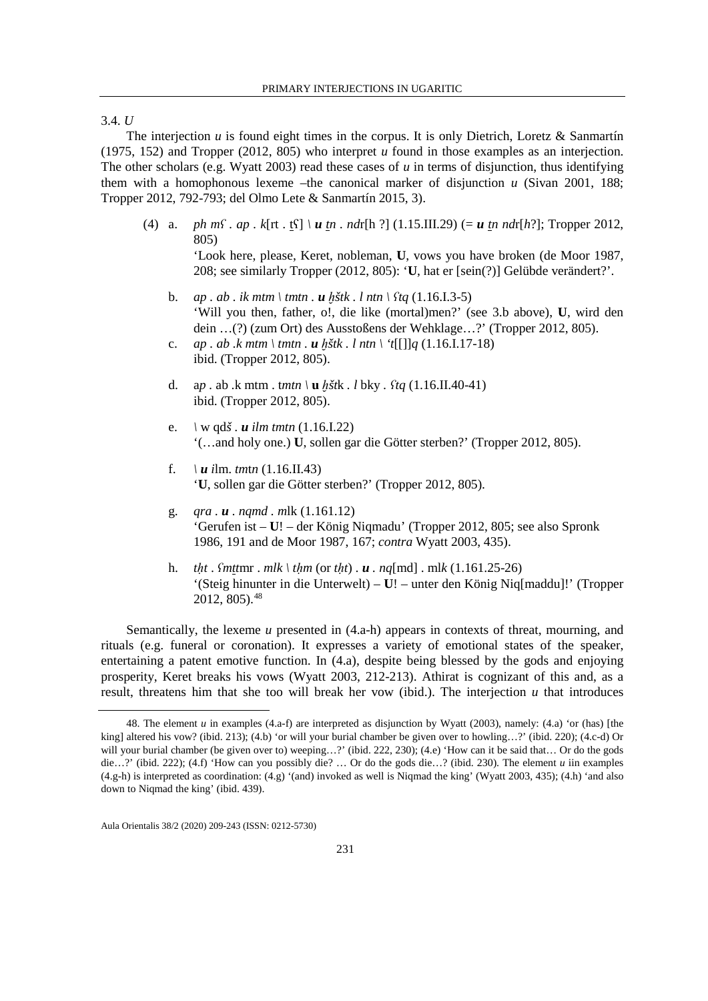3.4. *U*

The interjection *u* is found eight times in the corpus. It is only Dietrich, Loretz & Sanmartín (1975, 152) and Tropper (2012, 805) who interpret *u* found in those examples as an interjection. The other scholars (e.g. Wyatt 2003) read these cases of *u* in terms of disjunction, thus identifying them with a homophonous lexeme –the canonical marker of disjunction *u* (Sivan 2001, 188; Tropper 2012, 792-793; del Olmo Lete & Sanmartín 2015, 3).

- (4) a. *ph m<sup><i>s*</sup> . ap . k[rt . t͡*s*]  $\langle u \text{ in } . \text{ ndr}$ [h ?] (1.15.III.29) (=  $u \text{ in } \text{ ndr}$ [h?]; Tropper 2012, 805) 'Look here, please, Keret, nobleman, **U**, vows you have broken (de Moor 1987, 208; see similarly Tropper (2012, 805): '**U**, hat er [sein(?)] Gelübde verändert?'.
	- b. *ap. ab. ik mtm* \ *tmtn. u <i>hštk. l ntn \ ftq* (1.16.I.3-5) 'Will you then, father, o!, die like (mortal)men?' (see 3.b above), **U**, wird den dein …(?) (zum Ort) des Ausstoßens der Wehklage…?' (Tropper 2012, 805).
	- c. *ap. ab.k mtm* \ *tmtn. u h*<sup>*štk. l ntn* \ '*t*[[]]*q* (1.16.I.17-18)</sup> ibid. (Tropper 2012, 805).
	- d. a*p .* ab *.*k mtm . t*mtn \* **u** *ḫšt*k *. l* bky *. ʕtq* (1.16.II.40-41) ibid. (Tropper 2012, 805).
	- e. *\* w qd*š . u ilm tmtn* (1.16.I.22) '(…and holy one.) **U**, sollen gar die Götter sterben?' (Tropper 2012, 805).
	- f.  $\forall u \text{ ilm. } t$ *mtn* (1.16.II.43) '**U**, sollen gar die Götter sterben?' (Tropper 2012, 805).
	- g. *qra . u . nqmd . m*lk (1.161.12) 'Gerufen ist – **U**! – der König Niqmadu' (Tropper 2012, 805; see also Spronk 1986, 191 and de Moor 1987, 167; *contra* Wyatt 2003, 435).
	- h. *tht* . *fmttmr* . *mlk*  $\{ h m (or *tht*) \}$  *u* . *ng*[md] . mlk (1.161.25-26) '(Steig hinunter in die Unterwelt) – **U**! – unter den König Niq[maddu]!' (Tropper 2012, 805). [48](#page-22-0)

Semantically, the lexeme *u* presented in (4.a-h) appears in contexts of threat, mourning, and rituals (e.g. funeral or coronation). It expresses a variety of emotional states of the speaker, entertaining a patent emotive function. In (4.a), despite being blessed by the gods and enjoying prosperity, Keret breaks his vows (Wyatt 2003, 212-213). Athirat is cognizant of this and, as a result, threatens him that she too will break her vow (ibid.). The interjection *u* that introduces

<span id="page-22-0"></span> <sup>48.</sup> The element *u* in examples (4.a-f) are interpreted as disjunction by Wyatt (2003), namely: (4.a) 'or (has) [the king] altered his vow? (ibid. 213); (4.b) 'or will your burial chamber be given over to howling…?' (ibid. 220); (4.c-d) Or will your burial chamber (be given over to) weeping…?' (ibid. 222, 230); (4.e) 'How can it be said that.… Or do the gods die…?' (ibid. 222); (4.f) 'How can you possibly die? … Or do the gods die…? (ibid. 230). The element *u* iin examples (4.g-h) is interpreted as coordination: (4.g) '(and) invoked as well is Niqmad the king' (Wyatt 2003, 435); (4.h) 'and also down to Niqmad the king' (ibid. 439).

Aula Orientalis 38/2 (2020) 209-243 (ISSN: 0212-5730)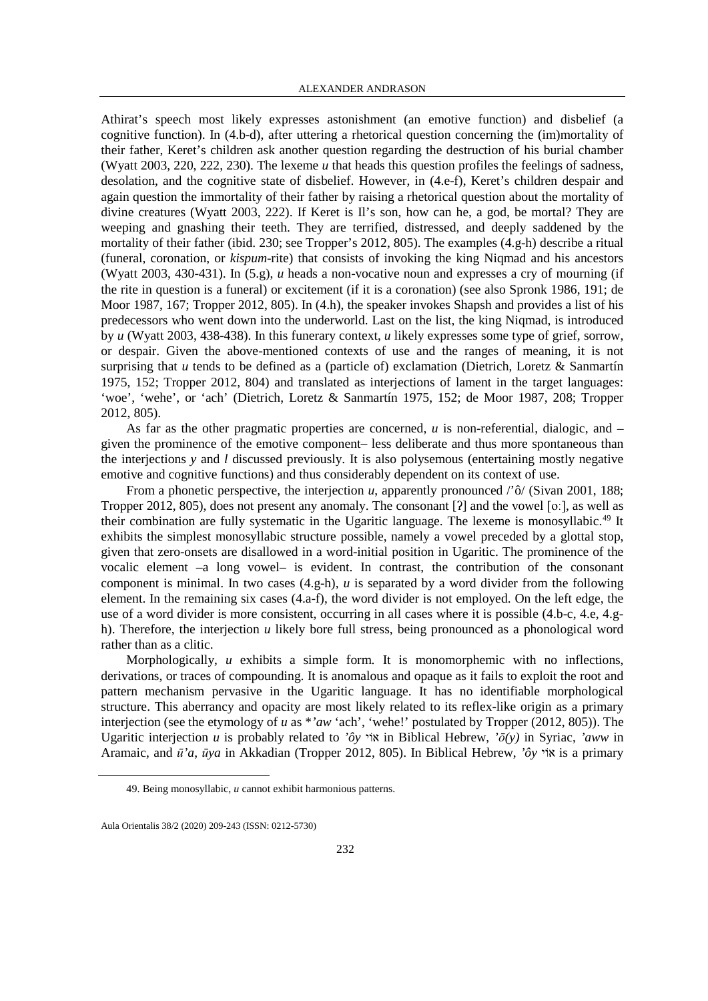Athirat's speech most likely expresses astonishment (an emotive function) and disbelief (a cognitive function). In (4.b-d), after uttering a rhetorical question concerning the (im)mortality of their father, Keret's children ask another question regarding the destruction of his burial chamber (Wyatt 2003, 220, 222, 230). The lexeme *u* that heads this question profiles the feelings of sadness, desolation, and the cognitive state of disbelief. However, in (4.e-f), Keret's children despair and again question the immortality of their father by raising a rhetorical question about the mortality of divine creatures (Wyatt 2003, 222). If Keret is Il's son, how can he, a god, be mortal? They are weeping and gnashing their teeth. They are terrified, distressed, and deeply saddened by the mortality of their father (ibid. 230; see Tropper's 2012, 805). The examples (4.g-h) describe a ritual (funeral, coronation, or *kispum*-rite) that consists of invoking the king Niqmad and his ancestors (Wyatt 2003, 430-431). In (5.g), *u* heads a non-vocative noun and expresses a cry of mourning (if the rite in question is a funeral) or excitement (if it is a coronation) (see also Spronk 1986, 191; de Moor 1987, 167; Tropper 2012, 805). In (4.h), the speaker invokes Shapsh and provides a list of his predecessors who went down into the underworld. Last on the list, the king Niqmad, is introduced by *u* (Wyatt 2003, 438-438). In this funerary context, *u* likely expresses some type of grief, sorrow, or despair. Given the above-mentioned contexts of use and the ranges of meaning, it is not surprising that *u* tends to be defined as a (particle of) exclamation (Dietrich, Loretz & Sanmartín 1975, 152; Tropper 2012, 804) and translated as interjections of lament in the target languages: 'woe', 'wehe', or 'ach' (Dietrich, Loretz & Sanmartín 1975, 152; de Moor 1987, 208; Tropper 2012, 805).

As far as the other pragmatic properties are concerned, *u* is non-referential, dialogic, and – given the prominence of the emotive component– less deliberate and thus more spontaneous than the interjections *y* and *l* discussed previously. It is also polysemous (entertaining mostly negative emotive and cognitive functions) and thus considerably dependent on its context of use.

From a phonetic perspective, the interjection *u*, apparently pronounced /' $\hat{O}$  (Sivan 2001, 188; Tropper 2012, 805), does not present any anomaly. The consonant [ʔ] and the vowel [oː], as well as their combination are fully systematic in the Ugaritic language. The lexeme is monosyllabic.[49](#page-23-0) It exhibits the simplest monosyllabic structure possible, namely a vowel preceded by a glottal stop, given that zero-onsets are disallowed in a word-initial position in Ugaritic. The prominence of the vocalic element –a long vowel– is evident. In contrast, the contribution of the consonant component is minimal. In two cases  $(4, g-h)$ , *u* is separated by a word divider from the following element. In the remaining six cases (4.a-f), the word divider is not employed. On the left edge, the use of a word divider is more consistent, occurring in all cases where it is possible (4.b-c, 4.e, 4.gh). Therefore, the interjection *u* likely bore full stress, being pronounced as a phonological word rather than as a clitic.

Morphologically, *u* exhibits a simple form. It is monomorphemic with no inflections, derivations, or traces of compounding. It is anomalous and opaque as it fails to exploit the root and pattern mechanism pervasive in the Ugaritic language. It has no identifiable morphological structure. This aberrancy and opacity are most likely related to its reflex-like origin as a primary interjection (see the etymology of *u* as \**'aw* 'ach', 'wehe!' postulated by Tropper (2012, 805)). The Ugaritic interjection *u* is probably related to ' $\partial y$  in Biblical Hebrew, ' $\partial (y)$  in Syriac, '*aww* in Aramaic, and *ū'a*, *ūya* in Akkadian (Tropper 2012, 805). In Biblical Hebrew, *'ôy* אוֹי is a primary

 <sup>49.</sup> Being monosyllabic, *u* cannot exhibit harmonious patterns.

<span id="page-23-0"></span>Aula Orientalis 38/2 (2020) 209-243 (ISSN: 0212-5730)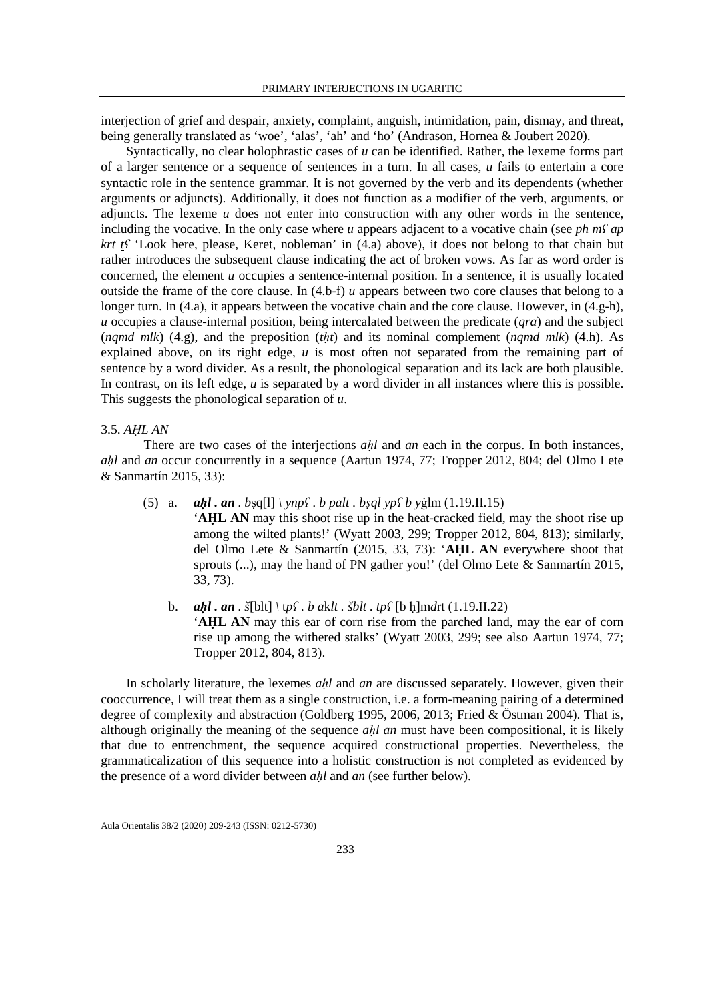interjection of grief and despair, anxiety, complaint, anguish, intimidation, pain, dismay, and threat, being generally translated as 'woe', 'alas', 'ah' and 'ho' (Andrason, Hornea & Joubert 2020).

Syntactically, no clear holophrastic cases of *u* can be identified. Rather, the lexeme forms part of a larger sentence or a sequence of sentences in a turn. In all cases, *u* fails to entertain a core syntactic role in the sentence grammar. It is not governed by the verb and its dependents (whether arguments or adjuncts). Additionally, it does not function as a modifier of the verb, arguments, or adjuncts. The lexeme  $u$  does not enter into construction with any other words in the sentence, including the vocative. In the only case where *u* appears adjacent to a vocative chain (see *ph mʕ ap krt tʕ* 'Look here, please, Keret, nobleman' in (4.a) above), it does not belong to that chain but rather introduces the subsequent clause indicating the act of broken vows. As far as word order is concerned, the element *u* occupies a sentence-internal position. In a sentence, it is usually located outside the frame of the core clause. In (4.b-f) *u* appears between two core clauses that belong to a longer turn. In (4.a), it appears between the vocative chain and the core clause. However, in (4.g-h), *u* occupies a clause-internal position, being intercalated between the predicate (*qra*) and the subject (*nqmd mlk*) (4.g), and the preposition (*tḥt*) and its nominal complement (*nqmd mlk*) (4.h). As explained above, on its right edge, *u* is most often not separated from the remaining part of sentence by a word divider. As a result, the phonological separation and its lack are both plausible. In contrast, on its left edge, *u* is separated by a word divider in all instances where this is possible. This suggests the phonological separation of *u*.

## 3.5. *AḤL AN*

There are two cases of the interjections *aḥl* and *an* each in the corpus. In both instances, *aḥl* and *an* occur concurrently in a sequence (Aartun 1974, 77; Tropper 2012, 804; del Olmo Lete & Sanmartín 2015, 33):

- (5) a. *aḥl . an . b*ṣq[l] *\ ynpʕ . b palt . bṣql ypʕ b y*ġlm (1.19.II.15) '**AḤL AN** may this shoot rise up in the heat-cracked field, may the shoot rise up among the wilted plants!' (Wyatt 2003, 299; Tropper 2012, 804, 813); similarly, del Olmo Lete & Sanmartín (2015, 33, 73): '**AḤL AN** everywhere shoot that sprouts (...), may the hand of PN gather you!' (del Olmo Lete & Sanmartín 2015, 33, 73).
	- b.  $a h l \cdot a n$ . *š*[blt]  $\langle tp \cdot b \cdot ak \cdot l \cdot b \cdot b \cdot h \rangle$  [b h]mdrt (1.19.II.22) '**AḤL AN** may this ear of corn rise from the parched land, may the ear of corn rise up among the withered stalks' (Wyatt 2003, 299; see also Aartun 1974, 77; Tropper 2012, 804, 813).

In scholarly literature, the lexemes *aḥl* and *an* are discussed separately. However, given their cooccurrence, I will treat them as a single construction, i.e. a form-meaning pairing of a determined degree of complexity and abstraction (Goldberg 1995, 2006, 2013; Fried & Östman 2004). That is, although originally the meaning of the sequence *aḥl an* must have been compositional, it is likely that due to entrenchment, the sequence acquired constructional properties. Nevertheless, the grammaticalization of this sequence into a holistic construction is not completed as evidenced by the presence of a word divider between *aḥl* and *an* (see further below).

Aula Orientalis 38/2 (2020) 209-243 (ISSN: 0212-5730)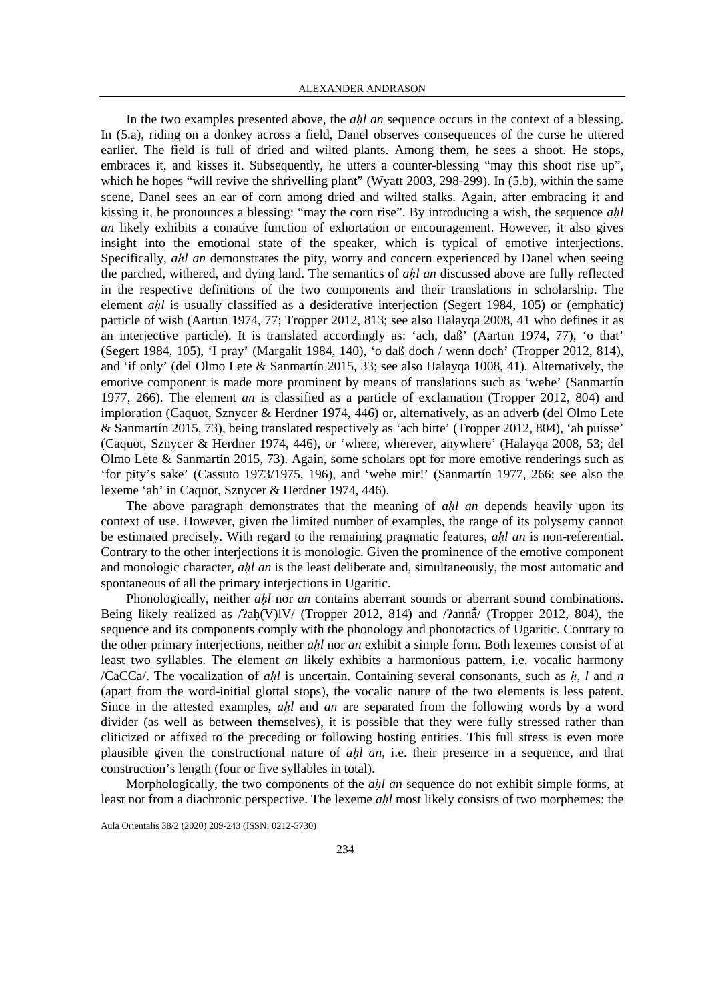In the two examples presented above, the *aḥl an* sequence occurs in the context of a blessing. In (5.a), riding on a donkey across a field, Danel observes consequences of the curse he uttered earlier. The field is full of dried and wilted plants. Among them, he sees a shoot. He stops, embraces it, and kisses it. Subsequently, he utters a counter-blessing "may this shoot rise up", which he hopes "will revive the shrivelling plant" (Wyatt 2003, 298-299). In (5.b), within the same scene, Danel sees an ear of corn among dried and wilted stalks. Again, after embracing it and kissing it, he pronounces a blessing: "may the corn rise". By introducing a wish, the sequence *aḥl an* likely exhibits a conative function of exhortation or encouragement. However, it also gives insight into the emotional state of the speaker, which is typical of emotive interjections. Specifically, *ahl an* demonstrates the pity, worry and concern experienced by Danel when seeing the parched, withered, and dying land. The semantics of *aḥl an* discussed above are fully reflected in the respective definitions of the two components and their translations in scholarship. The element *aḥl* is usually classified as a desiderative interjection (Segert 1984, 105) or (emphatic) particle of wish (Aartun 1974, 77; Tropper 2012, 813; see also Halayqa 2008, 41 who defines it as an interjective particle). It is translated accordingly as: 'ach, daß' (Aartun 1974, 77), 'o that' (Segert 1984, 105), 'I pray' (Margalit 1984, 140), 'o daß doch / wenn doch' (Tropper 2012, 814), and 'if only' (del Olmo Lete & Sanmartín 2015, 33; see also Halayqa 1008, 41). Alternatively, the emotive component is made more prominent by means of translations such as 'wehe' (Sanmartín 1977, 266). The element *an* is classified as a particle of exclamation (Tropper 2012, 804) and imploration (Caquot, Sznycer & Herdner 1974, 446) or, alternatively, as an adverb (del Olmo Lete & Sanmartín 2015, 73), being translated respectively as 'ach bitte' (Tropper 2012, 804), 'ah puisse' (Caquot, Sznycer & Herdner 1974, 446), or 'where, wherever, anywhere' (Halayqa 2008, 53; del Olmo Lete & Sanmartín 2015, 73). Again, some scholars opt for more emotive renderings such as 'for pity's sake' (Cassuto 1973/1975, 196), and 'wehe mir!' (Sanmartín 1977, 266; see also the lexeme 'ah' in Caquot, Sznycer & Herdner 1974, 446).

The above paragraph demonstrates that the meaning of *aḥl an* depends heavily upon its context of use. However, given the limited number of examples, the range of its polysemy cannot be estimated precisely. With regard to the remaining pragmatic features, *aḥl an* is non-referential. Contrary to the other interjections it is monologic. Given the prominence of the emotive component and monologic character, *aḥl an* is the least deliberate and, simultaneously, the most automatic and spontaneous of all the primary interjections in Ugaritic.

Phonologically, neither *ahl* nor *an* contains aberrant sounds or aberrant sound combinations. Being likely realized as /ʔaḥ(V)lV/ (Tropper 2012, 814) and /ʔannă/ (Tropper 2012, 804), the sequence and its components comply with the phonology and phonotactics of Ugaritic. Contrary to the other primary interjections, neither *aḥl* nor *an* exhibit a simple form. Both lexemes consist of at least two syllables. The element *an* likely exhibits a harmonious pattern, i.e. vocalic harmony /CaCCa/. The vocalization of *aḥl* is uncertain. Containing several consonants, such as *ḥ*, *l* and *n* (apart from the word-initial glottal stops), the vocalic nature of the two elements is less patent. Since in the attested examples, *aḥl* and *an* are separated from the following words by a word divider (as well as between themselves), it is possible that they were fully stressed rather than cliticized or affixed to the preceding or following hosting entities. This full stress is even more plausible given the constructional nature of *aḥl an*, i.e. their presence in a sequence, and that construction's length (four or five syllables in total).

Morphologically, the two components of the *aḥl an* sequence do not exhibit simple forms, at least not from a diachronic perspective. The lexeme *aḥl* most likely consists of two morphemes: the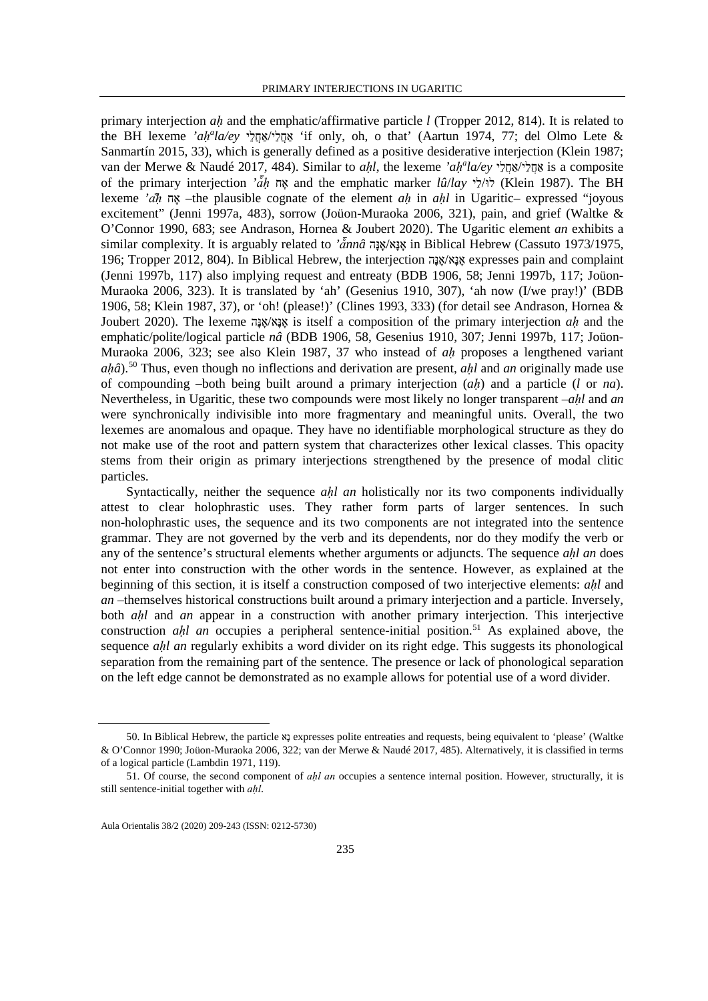primary interjection *aḥ* and the emphatic/affirmative particle *l* (Tropper 2012, 814). It is related to the BH lexeme 'ah<sup>a</sup>la/ey 'ang'\'xandisign' if only, oh, o that' (Aartun 1974, 77; del Olmo Lete & Sanmartín 2015, 33), which is generally defined as a positive desiderative interjection (Klein 1987; van der Merwe & Naudé 2017, 484). Similar to *ahl*, the lexeme 'ah<sup>a</sup>la/ey אֲחֲלַ<sup>ו</sup>/אַחֲלֵי is a composite of the primary interjection *'å ḥ* ח ָא and the emphatic marker *lû*/*lay* יַל/לוּ) Klein 1987). The BH *̄* lexeme *'å̄ḥ* ח ָא– the plausible cognate of the element *aḥ* in *aḥl* in Ugaritic– expressed "joyous excitement" (Jenni 1997a, 483), sorrow (Joüon-Muraoka 2006, 321), pain, and grief (Waltke & O'Connor 1990, 683; see Andrason, Hornea & Joubert 2020). The Ugaritic element *an* exhibits a similar complexity. It is arguably related to '*annâ* אָנָה in Biblical Hebrew (Cassuto 1973/1975, *̄* 196; Tropper 2012, 804). In Biblical Hebrew, the interjection הָנּ ָא/אָנּ ָא expresses pain and complaint (Jenni 1997b, 117) also implying request and entreaty (BDB 1906, 58; Jenni 1997b, 117; Joüon-Muraoka 2006, 323). It is translated by 'ah' (Gesenius 1910, 307), 'ah now (I/we pray!)' (BDB 1906, 58; Klein 1987, 37), or 'oh! (please!)' (Clines 1993, 333) (for detail see Andrason, Hornea & Joubert 2020). The lexeme הָנּ ָא/אָנּ ָא is itself a composition of the primary interjection *aḥ* and the emphatic/polite/logical particle *nâ* (BDB 1906, 58, Gesenius 1910, 307; Jenni 1997b, 117; Joüon-Muraoka 2006, 323; see also Klein 1987, 37 who instead of *aḥ* proposes a lengthened variant *ahâ*).<sup>50</sup> Thus, even though no inflections and derivation are present, *ahl* and *an* originally made use of compounding –both being built around a primary interjection (*aḥ*) and a particle (*l* or *na*). Nevertheless, in Ugaritic, these two compounds were most likely no longer transparent –*aḥl* and *an*  were synchronically indivisible into more fragmentary and meaningful units. Overall, the two lexemes are anomalous and opaque. They have no identifiable morphological structure as they do not make use of the root and pattern system that characterizes other lexical classes. This opacity stems from their origin as primary interjections strengthened by the presence of modal clitic particles.

Syntactically, neither the sequence *aḥl an* holistically nor its two components individually attest to clear holophrastic uses. They rather form parts of larger sentences. In such non-holophrastic uses, the sequence and its two components are not integrated into the sentence grammar. They are not governed by the verb and its dependents, nor do they modify the verb or any of the sentence's structural elements whether arguments or adjuncts. The sequence *aḥl an* does not enter into construction with the other words in the sentence. However, as explained at the beginning of this section, it is itself a construction composed of two interjective elements: *aḥl* and *an* –themselves historical constructions built around a primary interjection and a particle. Inversely, both *ahl* and *an* appear in a construction with another primary interjection. This interjective construction *ahl an* occupies a peripheral sentence-initial position.<sup>[51](#page-26-0)</sup> As explained above, the sequence *ahl an* regularly exhibits a word divider on its right edge. This suggests its phonological separation from the remaining part of the sentence. The presence or lack of phonological separation on the left edge cannot be demonstrated as no example allows for potential use of a word divider.

 <sup>50.</sup> In Biblical Hebrew, the particle אָנ expresses polite entreaties and requests, being equivalent to 'please' (Waltke & O'Connor 1990; Joüon-Muraoka 2006, 322; van der Merwe & Naudé 2017, 485). Alternatively, it is classified in terms of a logical particle (Lambdin 1971, 119).

<span id="page-26-0"></span><sup>51.</sup> Of course, the second component of *aḥl an* occupies a sentence internal position. However, structurally, it is still sentence-initial together with *aḥl*.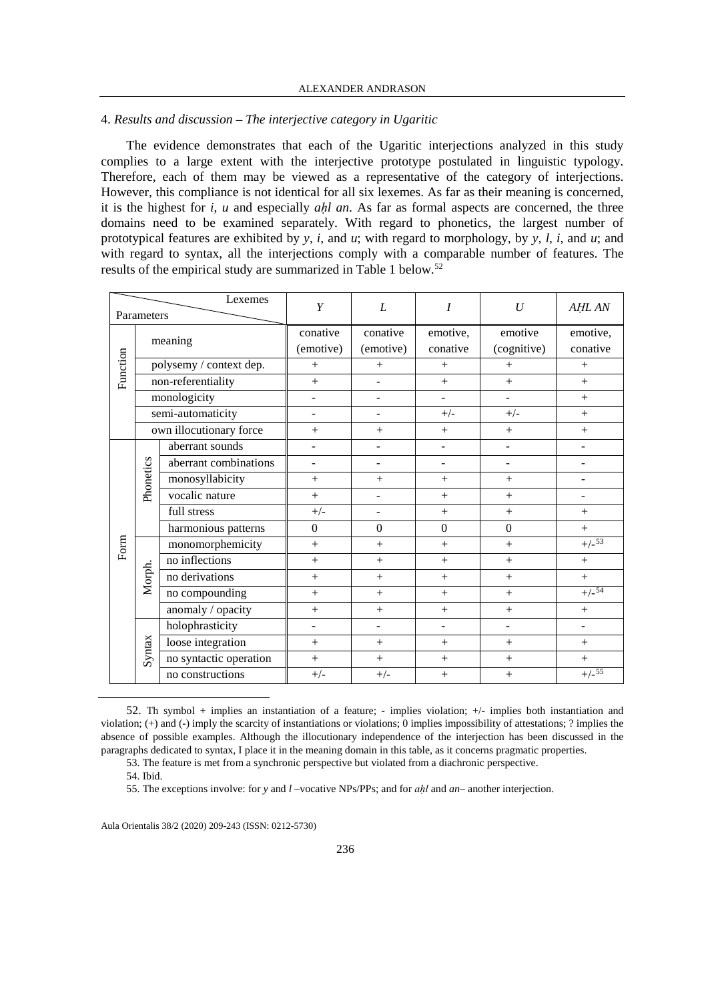## 4. *Results and discussion – The interjective category in Ugaritic*

The evidence demonstrates that each of the Ugaritic interjections analyzed in this study complies to a large extent with the interjective prototype postulated in linguistic typology. Therefore, each of them may be viewed as a representative of the category of interjections. However, this compliance is not identical for all six lexemes. As far as their meaning is concerned, it is the highest for *i*, *u* and especially *aḥl an*. As far as formal aspects are concerned, the three domains need to be examined separately. With regard to phonetics, the largest number of prototypical features are exhibited by *y*, *i*, and *u*; with regard to morphology, by *y*, *l*, *i*, and *u*; and with regard to syntax, all the interjections comply with a comparable number of features. The results of the empirical study are summarized in Table 1 below.<sup>[52](#page-27-0)</sup>

| Lexemes<br>Parameters |                         |                        | Y                     | L                        | I                        | U                      | <b>AHLAN</b>         |
|-----------------------|-------------------------|------------------------|-----------------------|--------------------------|--------------------------|------------------------|----------------------|
| Function              | meaning                 |                        | conative<br>(emotive) | conative<br>(emotive)    | emotive,<br>conative     | emotive<br>(cognitive) | emotive,<br>conative |
|                       | polysemy / context dep. |                        | $+$                   | $^{+}$                   | $^{+}$                   | $^{+}$                 | $+$                  |
|                       | non-referentiality      |                        | $\ddot{}$             |                          | $+$                      | $+$                    | $+$                  |
|                       | monologicity            |                        |                       | $\overline{\phantom{0}}$ | $\blacksquare$           | ÷,                     | $+$                  |
|                       | semi-automaticity       |                        |                       | ÷.                       | $+/-$                    | $+/-$                  | $+$                  |
|                       | own illocutionary force |                        | $+$                   | $+$                      | $^{+}$                   | $^{+}$                 | $+$                  |
|                       | Phonetics               | aberrant sounds        |                       | $\overline{a}$           | $\overline{\phantom{m}}$ | $\overline{a}$         | $\overline{a}$       |
|                       |                         | aberrant combinations  | ÷.                    | $\overline{\phantom{0}}$ | $\blacksquare$           | ÷,                     | L.                   |
|                       |                         | monosyllabicity        | $^{+}$                | $^{+}$                   | $+$                      | $^{+}$                 | ÷,                   |
|                       |                         | vocalic nature         | $\ddot{}$             | $\overline{\phantom{0}}$ | $+$                      | $^{+}$                 | ÷,                   |
|                       |                         | full stress            | $+/-$                 | $\overline{a}$           | $+$                      | $^{+}$                 | $+$                  |
|                       |                         | harmonious patterns    | $\Omega$              | $\Omega$                 | $\overline{0}$           | $\boldsymbol{0}$       | $+$                  |
| Form                  | Morph.                  | monomorphemicity       | $+$                   | $+$                      | $+$                      | $^{+}$                 | $+/-^{53}$           |
|                       |                         | no inflections         | $^{+}$                | $+$                      | $+$                      | $^{+}$                 | $+$                  |
|                       |                         | no derivations         | $+$                   | $+$                      | $^{+}$                   | $^{+}$                 | $+$                  |
|                       |                         | no compounding         | $\ddot{}$             | $+$                      | $+$                      | $^{+}$                 | $+\sqrt{-54}$        |
|                       |                         | anomaly / opacity      | $+$                   | $+$                      | $+$                      | $^{+}$                 | $+$                  |
|                       | Syntax                  | holophrasticity        | ÷,                    | $\overline{a}$           | $\overline{a}$           | $\overline{a}$         | ÷,                   |
|                       |                         | loose integration      | $+$                   | $+$                      | $+$                      | $+$                    | $+$                  |
|                       |                         | no syntactic operation | $+$                   | $+$                      | $+$                      | $+$                    | $+$                  |
|                       |                         | no constructions       | $+/-$                 | $+/-$                    | $+$                      | $^{+}$                 | $+/-\frac{55}{ }$    |

<span id="page-27-2"></span><span id="page-27-1"></span><span id="page-27-0"></span> <sup>52.</sup> Th symbol + implies an instantiation of a feature; - implies violation; +/- implies both instantiation and violation; (+) and (-) imply the scarcity of instantiations or violations; 0 implies impossibility of attestations; ? implies the absence of possible examples. Although the illocutionary independence of the interjection has been discussed in the paragraphs dedicated to syntax, I place it in the meaning domain in this table, as it concerns pragmatic properties.

<sup>53.</sup> The feature is met from a synchronic perspective but violated from a diachronic perspective.

<sup>54.</sup> Ibid.

<span id="page-27-3"></span><sup>55.</sup> The exceptions involve: for *y* and *l* –vocative NPs/PPs; and for *aḥl* and *an*– another interjection.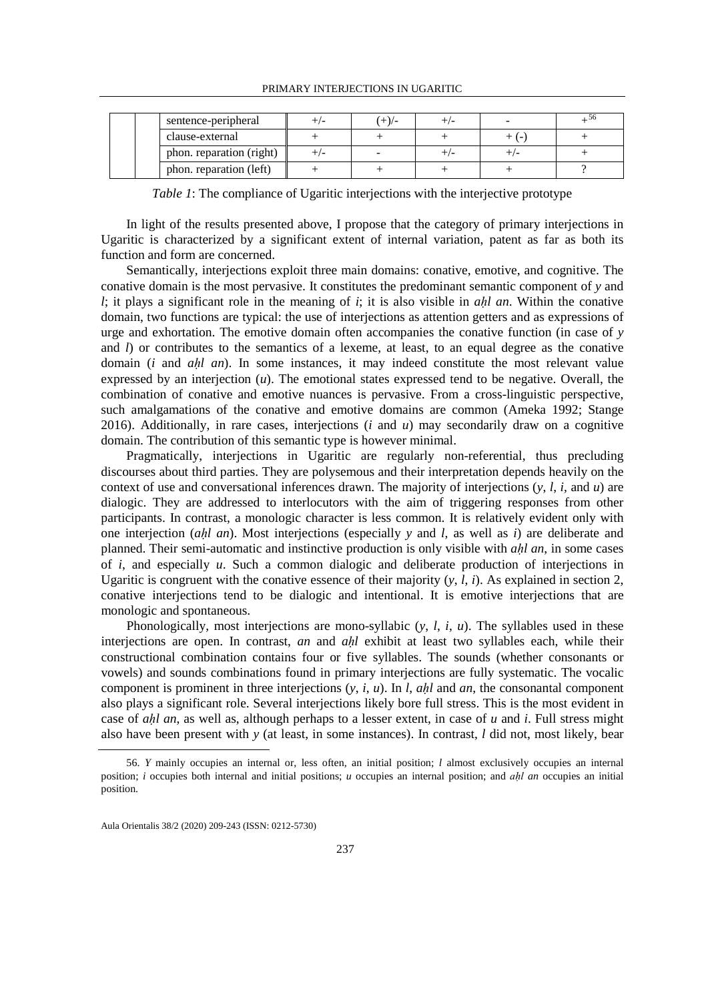PRIMARY INTERJECTIONS IN UGARITIC

|  | sentence-peripheral      | + |  |  |
|--|--------------------------|---|--|--|
|  | clause-external          |   |  |  |
|  | phon. reparation (right) |   |  |  |
|  | phon. reparation (left)  |   |  |  |

*Table 1*: The compliance of Ugaritic interjections with the interjective prototype

In light of the results presented above, I propose that the category of primary interjections in Ugaritic is characterized by a significant extent of internal variation, patent as far as both its function and form are concerned.

Semantically, interjections exploit three main domains: conative, emotive, and cognitive. The conative domain is the most pervasive. It constitutes the predominant semantic component of *y* and *l*; it plays a significant role in the meaning of *i*; it is also visible in *aḥl an*. Within the conative domain, two functions are typical: the use of interjections as attention getters and as expressions of urge and exhortation. The emotive domain often accompanies the conative function (in case of *y* and  $l$ ) or contributes to the semantics of a lexeme, at least, to an equal degree as the conative domain (*i* and *aḥl an*). In some instances, it may indeed constitute the most relevant value expressed by an interjection  $(u)$ . The emotional states expressed tend to be negative. Overall, the combination of conative and emotive nuances is pervasive. From a cross-linguistic perspective, such amalgamations of the conative and emotive domains are common (Ameka 1992; Stange 2016). Additionally, in rare cases, interjections (*i* and *u*) may secondarily draw on a cognitive domain. The contribution of this semantic type is however minimal.

Pragmatically, interjections in Ugaritic are regularly non-referential, thus precluding discourses about third parties. They are polysemous and their interpretation depends heavily on the context of use and conversational inferences drawn. The majority of interjections (*y*, *l*, *i*, and *u*) are dialogic. They are addressed to interlocutors with the aim of triggering responses from other participants. In contrast, a monologic character is less common. It is relatively evident only with one interjection (*aḥl an*). Most interjections (especially *y* and *l*, as well as *i*) are deliberate and planned. Their semi-automatic and instinctive production is only visible with *aḥl an*, in some cases of *i*, and especially *u*. Such a common dialogic and deliberate production of interjections in Ugaritic is congruent with the conative essence of their majority  $(y, l, i)$ . As explained in section 2, conative interjections tend to be dialogic and intentional. It is emotive interjections that are monologic and spontaneous.

Phonologically, most interjections are mono-syllabic (*y*, *l*, *i*, *u*). The syllables used in these interjections are open. In contrast, *an* and *aḥl* exhibit at least two syllables each, while their constructional combination contains four or five syllables. The sounds (whether consonants or vowels) and sounds combinations found in primary interjections are fully systematic. The vocalic component is prominent in three interjections (*y*, *i*, *u*). In *l*, *aḥl* and *an*, the consonantal component also plays a significant role. Several interjections likely bore full stress. This is the most evident in case of *aḥl an*, as well as, although perhaps to a lesser extent, in case of *u* and *i*. Full stress might also have been present with *y* (at least, in some instances). In contrast, *l* did not, most likely, bear

<span id="page-28-0"></span> <sup>56.</sup> *<sup>Y</sup>* mainly occupies an internal or, less often, an initial position; *<sup>l</sup>* almost exclusively occupies an internal position; *i* occupies both internal and initial positions; *u* occupies an internal position; and *aḥl an* occupies an initial position.

Aula Orientalis 38/2 (2020) 209-243 (ISSN: 0212-5730)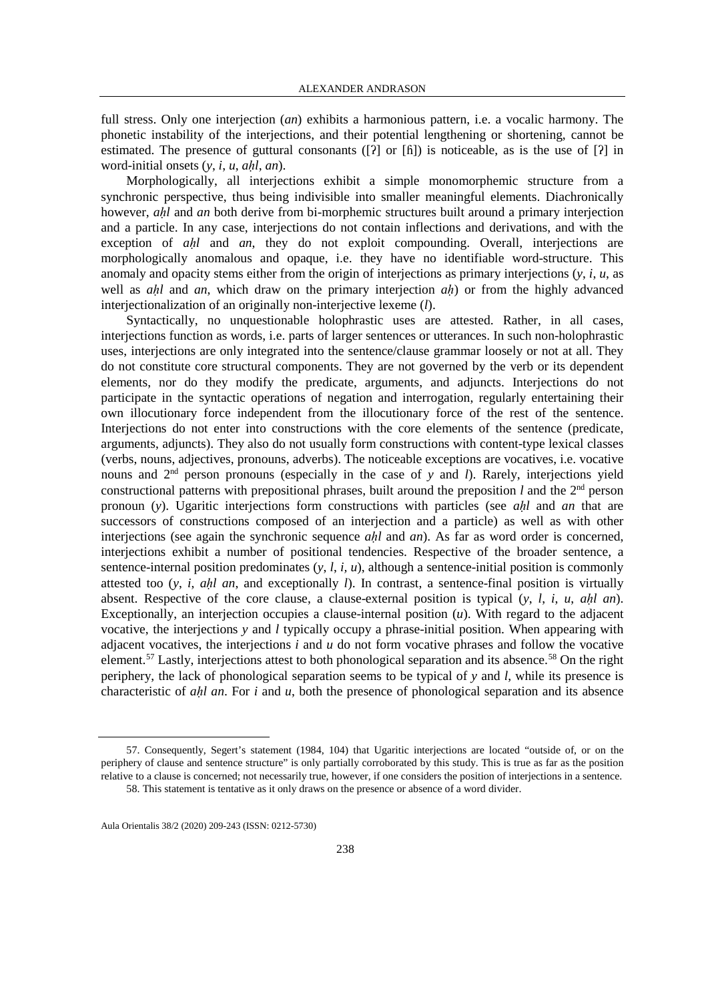full stress. Only one interjection (*an*) exhibits a harmonious pattern, i.e. a vocalic harmony. The phonetic instability of the interjections, and their potential lengthening or shortening, cannot be estimated. The presence of guttural consonants ([ʔ] or [ɦ]) is noticeable, as is the use of [ʔ] in word-initial onsets (*y*, *i*, *u*, *aḥl*, *an*).

Morphologically, all interjections exhibit a simple monomorphemic structure from a synchronic perspective, thus being indivisible into smaller meaningful elements. Diachronically however, *ahl* and *an* both derive from bi-morphemic structures built around a primary interjection and a particle. In any case, interjections do not contain inflections and derivations, and with the exception of *ahl* and *an*, they do not exploit compounding. Overall, interjections are morphologically anomalous and opaque, i.e. they have no identifiable word-structure. This anomaly and opacity stems either from the origin of interjections as primary interjections (*y*, *i*, *u*, as well as *ahl* and *an*, which draw on the primary interjection *ah*) or from the highly advanced interjectionalization of an originally non-interjective lexeme (*l*).

Syntactically, no unquestionable holophrastic uses are attested. Rather, in all cases, interjections function as words, i.e. parts of larger sentences or utterances. In such non-holophrastic uses, interjections are only integrated into the sentence/clause grammar loosely or not at all. They do not constitute core structural components. They are not governed by the verb or its dependent elements, nor do they modify the predicate, arguments, and adjuncts. Interjections do not participate in the syntactic operations of negation and interrogation, regularly entertaining their own illocutionary force independent from the illocutionary force of the rest of the sentence. Interjections do not enter into constructions with the core elements of the sentence (predicate, arguments, adjuncts). They also do not usually form constructions with content-type lexical classes (verbs, nouns, adjectives, pronouns, adverbs). The noticeable exceptions are vocatives, i.e. vocative nouns and 2<sup>nd</sup> person pronouns (especially in the case of *y* and *l*). Rarely, interjections yield constructional patterns with prepositional phrases, built around the preposition *l* and the 2nd person pronoun (*y*). Ugaritic interjections form constructions with particles (see *aḥl* and *an* that are successors of constructions composed of an interjection and a particle) as well as with other interjections (see again the synchronic sequence *aḥl* and *an*). As far as word order is concerned, interjections exhibit a number of positional tendencies. Respective of the broader sentence, a sentence-internal position predominates (*y*, *l*, *i, u*), although a sentence-initial position is commonly attested too  $(y, i, ahl, an$ , and exceptionally  $l$ ). In contrast, a sentence-final position is virtually absent. Respective of the core clause, a clause-external position is typical (*y*, *l*, *i*, *u*, *aḥl an*). Exceptionally, an interjection occupies a clause-internal position  $(u)$ . With regard to the adjacent vocative, the interjections *y* and *l* typically occupy a phrase-initial position. When appearing with adjacent vocatives, the interjections *i* and *u* do not form vocative phrases and follow the vocative element.[57](#page-29-0) Lastly, interjections attest to both phonological separation and its absence.[58](#page-29-1) On the right periphery, the lack of phonological separation seems to be typical of *y* and *l*, while its presence is characteristic of *aḥl an*. For *i* and *u*, both the presence of phonological separation and its absence

<span id="page-29-0"></span> <sup>57.</sup> Consequently, Segert's statement (1984, 104) that Ugaritic interjections are located "outside of, or on the periphery of clause and sentence structure" is only partially corroborated by this study. This is true as far as the position relative to a clause is concerned; not necessarily true, however, if one considers the position of interjections in a sentence.

<span id="page-29-1"></span><sup>58.</sup> This statement is tentative as it only draws on the presence or absence of a word divider.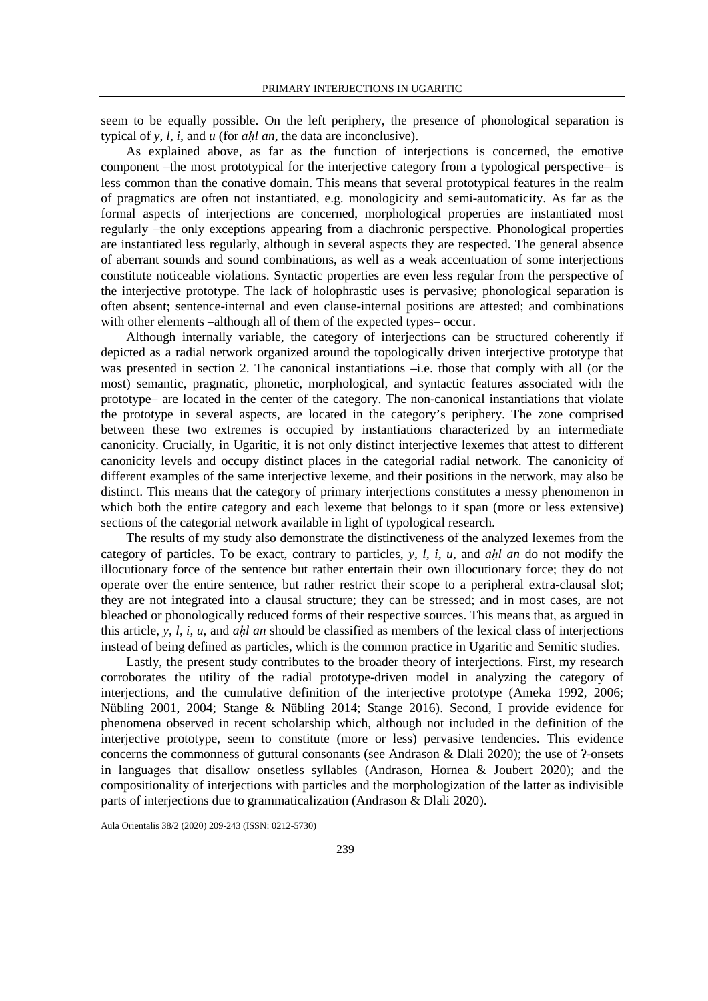seem to be equally possible. On the left periphery, the presence of phonological separation is typical of *y*,  $l$ ,  $i$ , and  $u$  (for *ahl an*, the data are inconclusive).

As explained above, as far as the function of interjections is concerned, the emotive component –the most prototypical for the interjective category from a typological perspective– is less common than the conative domain. This means that several prototypical features in the realm of pragmatics are often not instantiated, e.g. monologicity and semi-automaticity. As far as the formal aspects of interjections are concerned, morphological properties are instantiated most regularly –the only exceptions appearing from a diachronic perspective. Phonological properties are instantiated less regularly, although in several aspects they are respected. The general absence of aberrant sounds and sound combinations, as well as a weak accentuation of some interjections constitute noticeable violations. Syntactic properties are even less regular from the perspective of the interjective prototype. The lack of holophrastic uses is pervasive; phonological separation is often absent; sentence-internal and even clause-internal positions are attested; and combinations with other elements –although all of them of the expected types– occur.

Although internally variable, the category of interjections can be structured coherently if depicted as a radial network organized around the topologically driven interjective prototype that was presented in section 2. The canonical instantiations –i.e. those that comply with all (or the most) semantic, pragmatic, phonetic, morphological, and syntactic features associated with the prototype– are located in the center of the category. The non-canonical instantiations that violate the prototype in several aspects, are located in the category's periphery. The zone comprised between these two extremes is occupied by instantiations characterized by an intermediate canonicity. Crucially, in Ugaritic, it is not only distinct interjective lexemes that attest to different canonicity levels and occupy distinct places in the categorial radial network. The canonicity of different examples of the same interjective lexeme, and their positions in the network, may also be distinct. This means that the category of primary interjections constitutes a messy phenomenon in which both the entire category and each lexeme that belongs to it span (more or less extensive) sections of the categorial network available in light of typological research.

The results of my study also demonstrate the distinctiveness of the analyzed lexemes from the category of particles. To be exact, contrary to particles, *y*, *l*, *i*, *u*, and *aḥl an* do not modify the illocutionary force of the sentence but rather entertain their own illocutionary force; they do not operate over the entire sentence, but rather restrict their scope to a peripheral extra-clausal slot; they are not integrated into a clausal structure; they can be stressed; and in most cases, are not bleached or phonologically reduced forms of their respective sources. This means that, as argued in this article, *y*, *l*, *i*, *u*, and *aḥl an* should be classified as members of the lexical class of interjections instead of being defined as particles, which is the common practice in Ugaritic and Semitic studies.

Lastly, the present study contributes to the broader theory of interjections. First, my research corroborates the utility of the radial prototype-driven model in analyzing the category of interjections, and the cumulative definition of the interjective prototype (Ameka 1992, 2006; Nübling 2001, 2004; Stange & Nübling 2014; Stange 2016). Second, I provide evidence for phenomena observed in recent scholarship which, although not included in the definition of the interjective prototype, seem to constitute (more or less) pervasive tendencies. This evidence concerns the commonness of guttural consonants (see Andrason & Dlali 2020); the use of  $\lambda$ -onsets in languages that disallow onsetless syllables (Andrason, Hornea & Joubert 2020); and the compositionality of interjections with particles and the morphologization of the latter as indivisible parts of interjections due to grammaticalization (Andrason & Dlali 2020).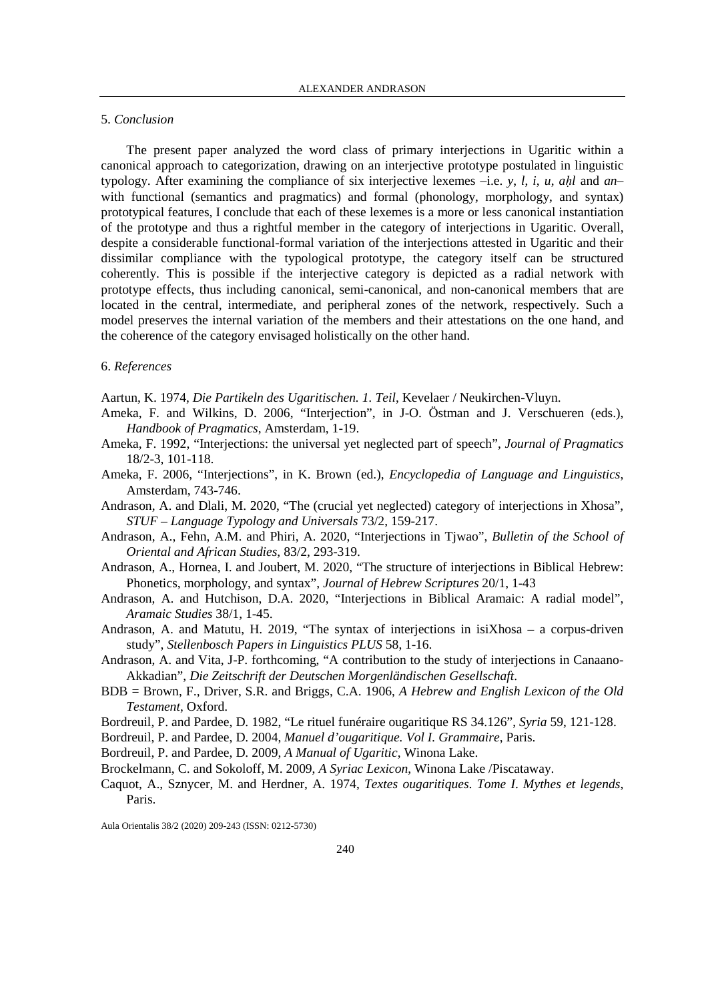#### 5. *Conclusion*

The present paper analyzed the word class of primary interjections in Ugaritic within a canonical approach to categorization, drawing on an interjective prototype postulated in linguistic typology. After examining the compliance of six interjective lexemes –i.e. *y*, *l*, *i*, *u*, *aḥl* and *an*– with functional (semantics and pragmatics) and formal (phonology, morphology, and syntax) prototypical features, I conclude that each of these lexemes is a more or less canonical instantiation of the prototype and thus a rightful member in the category of interjections in Ugaritic. Overall, despite a considerable functional-formal variation of the interjections attested in Ugaritic and their dissimilar compliance with the typological prototype, the category itself can be structured coherently. This is possible if the interjective category is depicted as a radial network with prototype effects, thus including canonical, semi-canonical, and non-canonical members that are located in the central, intermediate, and peripheral zones of the network, respectively. Such a model preserves the internal variation of the members and their attestations on the one hand, and the coherence of the category envisaged holistically on the other hand.

### 6. *References*

- Aartun, K. 1974, *Die Partikeln des Ugaritischen. 1. Teil*, Kevelaer / Neukirchen-Vluyn.
- Ameka, F. and Wilkins, D. 2006, "Interjection", in J-O. Östman and J. Verschueren (eds.), *Handbook of Pragmatics*, Amsterdam, 1-19.
- Ameka, F. 1992, "Interjections: the universal yet neglected part of speech", *Journal of Pragmatics* 18/2-3, 101-118.
- Ameka, F. 2006, "Interjections", in K. Brown (ed.), *Encyclopedia of Language and Linguistics*, Amsterdam, 743-746.
- Andrason, A. and Dlali, M. 2020, "The (crucial yet neglected) category of interjections in Xhosa", *STUF – Language Typology and Universals* 73/2, 159-217.
- Andrason, A., Fehn, A.M. and Phiri, A. 2020, "Interjections in Tjwao", *Bulletin of the School of Oriental and African Studies*, 83/2, 293-319.
- Andrason, A., Hornea, I. and Joubert, M. 2020, "The structure of interjections in Biblical Hebrew: Phonetics, morphology, and syntax", *Journal of Hebrew Scriptures* 20/1, 1-43
- Andrason, A. and Hutchison, D.A. 2020, "Interjections in Biblical Aramaic: A radial model", *Aramaic Studies* 38/1, 1-45.
- Andrason, A. and Matutu, H. 2019, "The syntax of interjections in isiXhosa a corpus-driven study", *Stellenbosch Papers in Linguistics PLUS* 58, 1-16.
- Andrason, A. and Vita, J-P. forthcoming, "A contribution to the study of interjections in Canaano-Akkadian", *Die Zeitschrift der Deutschen Morgenländischen Gesellschaft*.
- BDB = Brown, F., Driver, S.R. and Briggs, C.A. 1906, *A Hebrew and English Lexicon of the Old Testament*, Oxford.
- Bordreuil, P. and Pardee, D. 1982, "Le rituel funéraire ougaritique RS 34.126", *Syria* 59, 121-128.
- Bordreuil, P. and Pardee, D. 2004, *Manuel d'ougaritique. Vol I. Grammaire*, Paris.
- Bordreuil, P. and Pardee, D. 2009, *A Manual of Ugaritic*, Winona Lake.
- Brockelmann, C. and Sokoloff, M. 2009, *A Syriac Lexicon*, Winona Lake /Piscataway.
- Caquot, A., Sznycer, M. and Herdner, A. 1974, *Textes ougaritiques*. *Tome I*. *Mythes et legends*, Paris.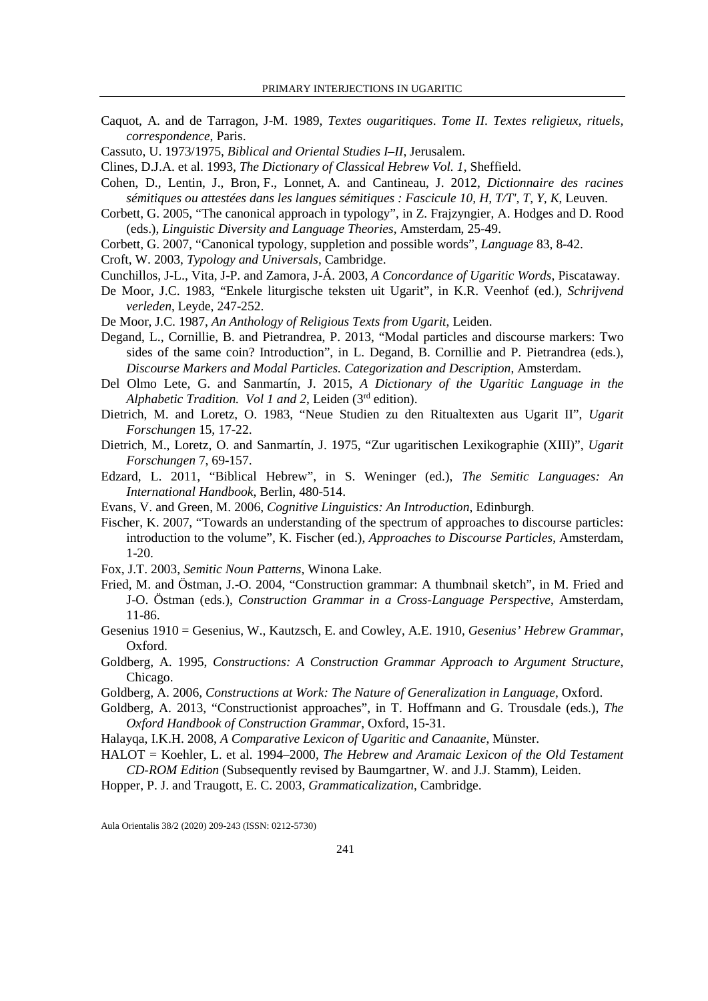- Caquot, A. and de Tarragon, J-M. 1989, *Textes ougaritiques*. *Tome II*. *Textes religieux, rituels, correspondence*, Paris.
- Cassuto, U. 1973/1975, *Biblical and Oriental Studies I–II*, Jerusalem.
- Clines, D.J.A. et al. 1993, *The Dictionary of Classical Hebrew Vol. 1*, Sheffield.
- Cohen, D., Lentin, J., Bron, F., Lonnet, A. and Cantineau, J. 2012, *Dictionnaire des racines sémitiques ou attestées dans les langues sémitiques : Fascicule 10, H, T/T', T, Y, K*, Leuven.
- Corbett, G. 2005, "The canonical approach in typology", in Z. Frajzyngier, A. Hodges and D. Rood (eds.), *Linguistic Diversity and Language Theories*, Amsterdam, 25-49.
- Corbett, G. 2007, "Canonical typology, suppletion and possible words", *Language* 83, 8-42.
- Croft, W. 2003, *Typology and Universals*, Cambridge.
- Cunchillos, J-L., Vita, J-P. and Zamora, J-Á. 2003, *A Concordance of Ugaritic Words*, Piscataway.
- De Moor, J.C. 1983, "Enkele liturgische teksten uit Ugarit", in K.R. Veenhof (ed.), *Schrijvend verleden*, Leyde, 247-252.
- De Moor, J.C. 1987, *An Anthology of Religious Texts from Ugarit*, Leiden.
- Degand, L., Cornillie, B. and Pietrandrea, P. 2013, "Modal particles and discourse markers: Two sides of the same coin? Introduction", in L. Degand, B. Cornillie and P. Pietrandrea (eds.), *Discourse Markers and Modal Particles. Categorization and Description*, Amsterdam.
- Del Olmo Lete, G. and Sanmartín, J. 2015, *A Dictionary of the Ugaritic Language in the Alphabetic Tradition. Vol 1 and 2*, Leiden (3rd edition).
- Dietrich, M. and Loretz, O. 1983, "Neue Studien zu den Ritualtexten aus Ugarit II", *Ugarit Forschungen* 15, 17-22.
- Dietrich, M., Loretz, O. and Sanmartín, J. 1975, "Zur ugaritischen Lexikographie (XIII)", *Ugarit Forschungen* 7, 69-157.
- Edzard, L. 2011, "Biblical Hebrew", in S. Weninger (ed.), *The Semitic Languages: An International Handbook*, Berlin, 480-514.
- Evans, V. and Green, M. 2006, *Cognitive Linguistics: An Introduction*, Edinburgh.
- Fischer, K. 2007, "Towards an understanding of the spectrum of approaches to discourse particles: introduction to the volume", K. Fischer (ed.), *Approaches to Discourse Particles*, Amsterdam, 1-20.
- Fox, J.T. 2003, *Semitic Noun Patterns*, Winona Lake.
- Fried, M. and Östman, J.-O. 2004, "Construction grammar: A thumbnail sketch", in M. Fried and J-O. Östman (eds.), *Construction Grammar in a Cross-Language Perspective*, Amsterdam, 11-86.
- Gesenius 1910 = Gesenius, W., Kautzsch, E. and Cowley, A.E. 1910, *Gesenius' Hebrew Grammar*, Oxford.
- Goldberg, A. 1995, *Constructions: A Construction Grammar Approach to Argument Structure*, Chicago.
- Goldberg, A. 2006, *Constructions at Work: The Nature of Generalization in Language*, Oxford.
- Goldberg, A. 2013, "Constructionist approaches", in T. Hoffmann and G. Trousdale (eds.), *The Oxford Handbook of Construction Grammar*, Oxford, 15-31.
- Halayqa, I.K.H. 2008, *A Comparative Lexicon of Ugaritic and Canaanite*, Münster.
- HALOT = Koehler, L. et al. 1994–2000, *The Hebrew and Aramaic Lexicon of the Old Testament CD-ROM Edition* (Subsequently revised by Baumgartner, W. and J.J. Stamm), Leiden.
- Hopper, P. J. and Traugott, E. C. 2003, *Grammaticalization*, Cambridge.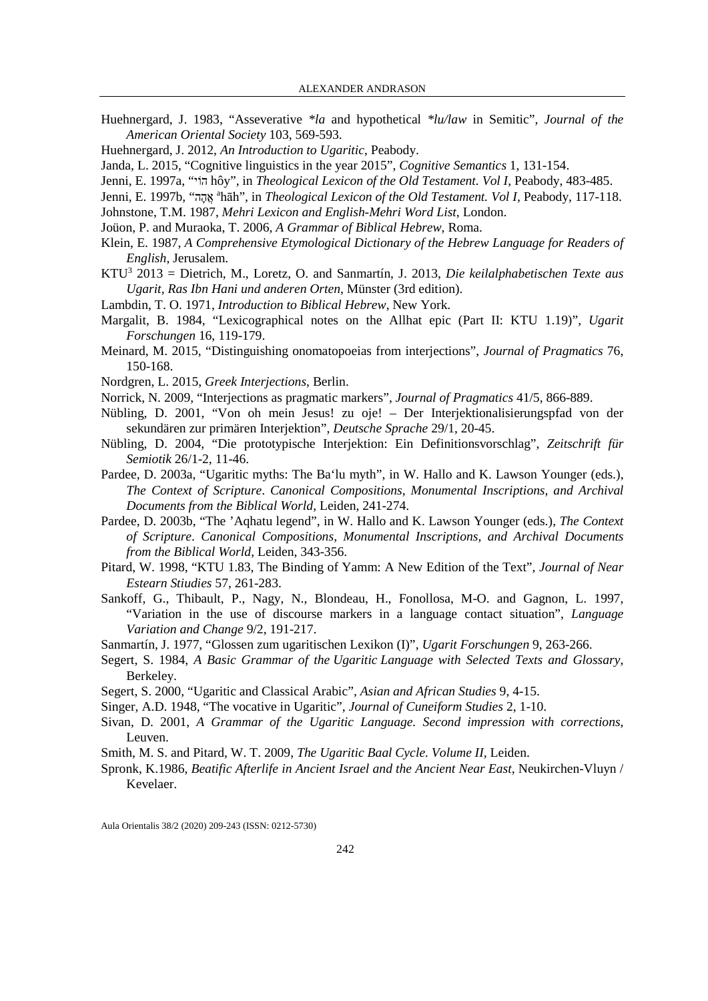- Huehnergard, J. 1983, "Asseverative *\*la* and hypothetical *\*lu/law* in Semitic", *Journal of the American Oriental Society* 103, 569-593.
- Huehnergard, J. 2012, *An Introduction to Ugaritic*, Peabody.
- Janda, L. 2015, "Cognitive linguistics in the year 2015", *Cognitive Semantics* 1, 131-154.
- Jenni, E. 1997a, "הוֹי hôy", in *Theological Lexicon of the Old Testament. Vol I*, Peabody, 483-485.
- Jenni, E. 1997b, "הָהֲא <sup>a</sup> hāh", in *Theological Lexicon of the Old Testament. Vol I,* Peabody, 117-118.
- Johnstone, T.M. 1987, *Mehri Lexicon and English-Mehri Word List*, London.
- Joüon, P. and Muraoka, T. 2006, *A Grammar of Biblical Hebrew*, Roma.
- Klein, E. 1987, *A Comprehensive Etymological Dictionary of the Hebrew Language for Readers of English*, Jerusalem.
- KTU3 2013 = Dietrich, M., Loretz, O. and Sanmartín, J. 2013, *Die keilalphabetischen Texte aus Ugarit, Ras Ibn Hani und anderen Orten*, Münster (3rd edition).
- Lambdin, T. O. 1971, *Introduction to Biblical Hebrew*, New York.
- Margalit, B. 1984, "Lexicographical notes on the Allhat epic (Part II: KTU 1.19)", *Ugarit Forschungen* 16, 119-179.
- Meinard, M. 2015, "Distinguishing onomatopoeias from interjections", *Journal of Pragmatics* 76, 150-168.
- Nordgren, L. 2015, *Greek Interjections*, Berlin.
- Norrick, N. 2009, "Interjections as pragmatic markers", *Journal of Pragmatics* 41/5, 866-889.
- Nübling, D. 2001, "Von oh mein Jesus! zu oje! Der Interjektionalisierungspfad von der sekundären zur primären Interjektion", *Deutsche Sprache* 29/1, 20-45.
- Nübling, D. 2004, "Die prototypische Interjektion: Ein Definitionsvorschlag", *Zeitschrift für Semiotik* 26/1-2, 11-46.
- Pardee, D. 2003a, "Ugaritic myths: The Ba'lu myth", in W. Hallo and K. Lawson Younger (eds.), *The Context of Scripture*. *Canonical Compositions, Monumental Inscriptions, and Archival Documents from the Biblical World*, Leiden, 241-274.
- Pardee, D. 2003b, "The 'Aqhatu legend", in W. Hallo and K. Lawson Younger (eds.), *The Context of Scripture*. *Canonical Compositions, Monumental Inscriptions, and Archival Documents from the Biblical World*, Leiden, 343-356.
- Pitard, W. 1998, "KTU 1.83, The Binding of Yamm: A New Edition of the Text", *Journal of Near Estearn Stiudies* 57, 261-283.
- Sankoff, G., Thibault, P., Nagy, N., Blondeau, H., Fonollosa, M-O. and Gagnon, L. 1997, "Variation in the use of discourse markers in a language contact situation", *Language Variation and Change* 9/2, 191-217.
- Sanmartín, J. 1977, "Glossen zum ugaritischen Lexikon (I)", *Ugarit Forschungen* 9, 263-266.
- Segert, S. 1984, *A Basic Grammar of the Ugaritic Language with Selected Texts and Glossary*, Berkeley.
- Segert, S. 2000, "Ugaritic and Classical Arabic", *Asian and African Studies* 9, 4-15.
- Singer, A.D. 1948, "The vocative in Ugaritic", *Journal of Cuneiform Studies* 2, 1-10.
- Sivan, D. 2001, *A Grammar of the Ugaritic Language. Second impression with corrections*, Leuven.
- Smith, M. S. and Pitard, W. T. 2009, *The Ugaritic Baal Cycle. Volume II*, Leiden.
- Spronk, K.1986, *Beatific Afterlife in Ancient Israel and the Ancient Near East*, Neukirchen-Vluyn / Kevelaer.